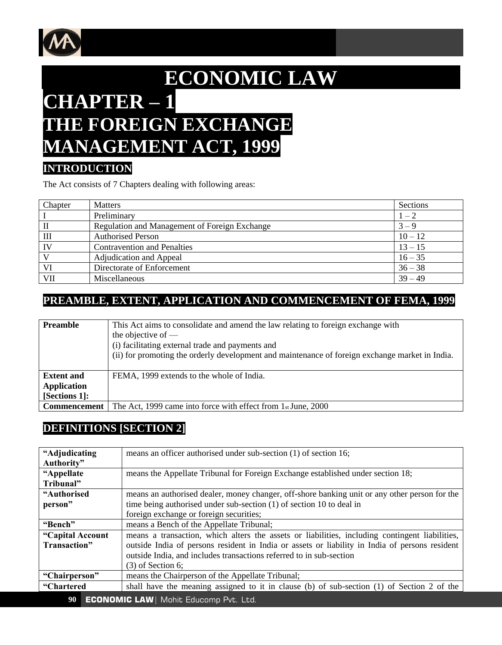

# **ECONOMIC LAW**

# **CHAPTER – 1 THE FOREIGN EXCHANGE MANAGEMENT ACT, 1999**

## **INTRODUCTION**

The Act consists of 7 Chapters dealing with following areas:

| Chapter | <b>Matters</b>                                | Sections  |
|---------|-----------------------------------------------|-----------|
|         | Preliminary                                   | $1 - 2$   |
| П       | Regulation and Management of Foreign Exchange | $3 - 9$   |
| III     | <b>Authorised Person</b>                      | $10 - 12$ |
| IV      | <b>Contravention and Penalties</b>            | $13 - 15$ |
|         | Adjudication and Appeal                       | $16 - 35$ |
| VI      | Directorate of Enforcement                    | $36 - 38$ |
| VII     | Miscellaneous                                 | $39 - 49$ |

## **PREAMBLE, EXTENT, APPLICATION AND COMMENCEMENT OF FEMA, 1999**

| <b>Preamble</b>     | This Act aims to consolidate and amend the law relating to foreign exchange with<br>the objective of $-$<br>(i) facilitating external trade and payments and<br>(ii) for promoting the orderly development and maintenance of foreign exchange market in India. |
|---------------------|-----------------------------------------------------------------------------------------------------------------------------------------------------------------------------------------------------------------------------------------------------------------|
| <b>Extent and</b>   | FEMA, 1999 extends to the whole of India.                                                                                                                                                                                                                       |
| <b>Application</b>  |                                                                                                                                                                                                                                                                 |
| [Sections 1]:       |                                                                                                                                                                                                                                                                 |
| <b>Commencement</b> | The Act, 1999 came into force with effect from $1st$ June, 2000                                                                                                                                                                                                 |

## **DEFINITIONS [SECTION 2]**

| "Adjudicating<br>Authority"                         | means an officer authorised under sub-section (1) of section 16;                               |
|-----------------------------------------------------|------------------------------------------------------------------------------------------------|
|                                                     |                                                                                                |
| "Appellate                                          | means the Appellate Tribunal for Foreign Exchange established under section 18;                |
| Tribunal"                                           |                                                                                                |
| "Authorised                                         | means an authorised dealer, money changer, off-shore banking unit or any other person for the  |
| person"                                             | time being authorised under sub-section $(1)$ of section 10 to deal in                         |
|                                                     | foreign exchange or foreign securities;                                                        |
| "Bench"                                             | means a Bench of the Appellate Tribunal;                                                       |
| "Capital Account                                    | means a transaction, which alters the assets or liabilities, including contingent liabilities, |
| Transaction"                                        | outside India of persons resident in India or assets or liability in India of persons resident |
|                                                     | outside India, and includes transactions referred to in sub-section                            |
|                                                     | $(3)$ of Section 6;                                                                            |
| "Chairperson"                                       | means the Chairperson of the Appellate Tribunal;                                               |
| "Chartered                                          | shall have the meaning assigned to it in clause (b) of sub-section (1) of Section 2 of the     |
| 90<br><b>ECONOMIC LAW</b>   Mohit Educomp Pvt. Ltd. |                                                                                                |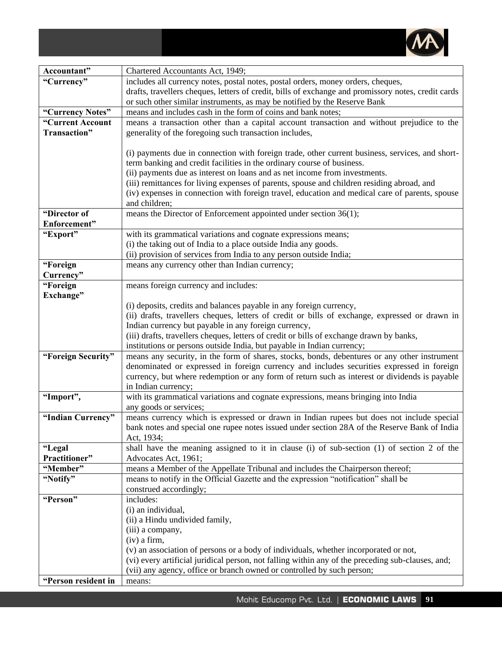

| Accountant"         | Chartered Accountants Act, 1949;                                                                          |  |
|---------------------|-----------------------------------------------------------------------------------------------------------|--|
| "Currency"          | includes all currency notes, postal notes, postal orders, money orders, cheques,                          |  |
|                     | drafts, travellers cheques, letters of credit, bills of exchange and promissory notes, credit cards       |  |
|                     | or such other similar instruments, as may be notified by the Reserve Bank                                 |  |
| "Currency Notes"    | means and includes cash in the form of coins and bank notes;                                              |  |
| "Current Account    | means a transaction other than a capital account transaction and without prejudice to the                 |  |
| Transaction"        | generality of the foregoing such transaction includes,                                                    |  |
|                     |                                                                                                           |  |
|                     | (i) payments due in connection with foreign trade, other current business, services, and short-           |  |
|                     | term banking and credit facilities in the ordinary course of business.                                    |  |
|                     | (ii) payments due as interest on loans and as net income from investments.                                |  |
|                     | (iii) remittances for living expenses of parents, spouse and children residing abroad, and                |  |
|                     | (iv) expenses in connection with foreign travel, education and medical care of parents, spouse            |  |
|                     | and children;                                                                                             |  |
| "Director of        | means the Director of Enforcement appointed under section 36(1);                                          |  |
| Enforcement"        |                                                                                                           |  |
| "Export"            | with its grammatical variations and cognate expressions means;                                            |  |
|                     | (i) the taking out of India to a place outside India any goods.                                           |  |
|                     | (ii) provision of services from India to any person outside India;                                        |  |
| "Foreign            | means any currency other than Indian currency;                                                            |  |
| Currency"           |                                                                                                           |  |
| "Foreign            | means foreign currency and includes:                                                                      |  |
| Exchange"           |                                                                                                           |  |
|                     | (i) deposits, credits and balances payable in any foreign currency,                                       |  |
|                     | (ii) drafts, travellers cheques, letters of credit or bills of exchange, expressed or drawn in            |  |
|                     | Indian currency but payable in any foreign currency,                                                      |  |
|                     | (iii) drafts, travellers cheques, letters of credit or bills of exchange drawn by banks,                  |  |
|                     | institutions or persons outside India, but payable in Indian currency;                                    |  |
| "Foreign Security"  | means any security, in the form of shares, stocks, bonds, debentures or any other instrument              |  |
|                     | denominated or expressed in foreign currency and includes securities expressed in foreign                 |  |
|                     | currency, but where redemption or any form of return such as interest or dividends is payable             |  |
| "Import",           | in Indian currency;<br>with its grammatical variations and cognate expressions, means bringing into India |  |
|                     | any goods or services;                                                                                    |  |
| "Indian Currency"   | means currency which is expressed or drawn in Indian rupees but does not include special                  |  |
|                     | bank notes and special one rupee notes issued under section 28A of the Reserve Bank of India              |  |
|                     | Act, 1934;                                                                                                |  |
| "Legal              | shall have the meaning assigned to it in clause (i) of sub-section (1) of section 2 of the                |  |
| Practitioner"       | Advocates Act, 1961;                                                                                      |  |
| "Member"            | means a Member of the Appellate Tribunal and includes the Chairperson thereof;                            |  |
| "Notify"            | means to notify in the Official Gazette and the expression "notification" shall be                        |  |
|                     | construed accordingly;                                                                                    |  |
| "Person"            | includes:                                                                                                 |  |
|                     | (i) an individual,                                                                                        |  |
|                     | (ii) a Hindu undivided family,                                                                            |  |
|                     | (iii) a company,                                                                                          |  |
|                     | $(iv)$ a firm,                                                                                            |  |
|                     | (v) an association of persons or a body of individuals, whether incorporated or not,                      |  |
|                     | (vi) every artificial juridical person, not falling within any of the preceding sub-clauses, and;         |  |
|                     | (vii) any agency, office or branch owned or controlled by such person;                                    |  |
| "Person resident in | means:                                                                                                    |  |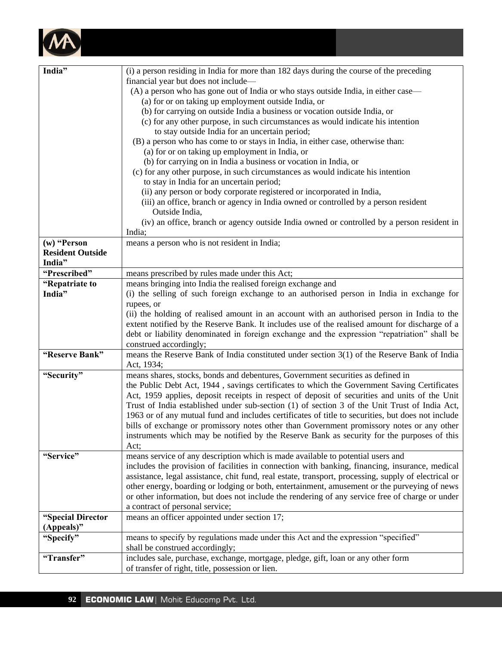

| India"                            | (i) a person residing in India for more than 182 days during the course of the preceding             |
|-----------------------------------|------------------------------------------------------------------------------------------------------|
|                                   | financial year but does not include—                                                                 |
|                                   | (A) a person who has gone out of India or who stays outside India, in either case—                   |
|                                   | (a) for or on taking up employment outside India, or                                                 |
|                                   | (b) for carrying on outside India a business or vocation outside India, or                           |
|                                   | (c) for any other purpose, in such circumstances as would indicate his intention                     |
|                                   | to stay outside India for an uncertain period;                                                       |
|                                   | (B) a person who has come to or stays in India, in either case, otherwise than:                      |
|                                   | (a) for or on taking up employment in India, or                                                      |
|                                   | (b) for carrying on in India a business or vocation in India, or                                     |
|                                   | (c) for any other purpose, in such circumstances as would indicate his intention                     |
|                                   | to stay in India for an uncertain period;                                                            |
|                                   | (ii) any person or body corporate registered or incorporated in India,                               |
|                                   | (iii) an office, branch or agency in India owned or controlled by a person resident                  |
|                                   | Outside India,                                                                                       |
|                                   | (iv) an office, branch or agency outside India owned or controlled by a person resident in           |
|                                   | India;                                                                                               |
| $(w)$ "Person                     | means a person who is not resident in India;                                                         |
| <b>Resident Outside</b><br>India" |                                                                                                      |
| "Prescribed"                      | means prescribed by rules made under this Act;                                                       |
| "Repatriate to                    | means bringing into India the realised foreign exchange and                                          |
| India"                            | (i) the selling of such foreign exchange to an authorised person in India in exchange for            |
|                                   | rupees, or                                                                                           |
|                                   | (ii) the holding of realised amount in an account with an authorised person in India to the          |
|                                   | extent notified by the Reserve Bank. It includes use of the realised amount for discharge of a       |
|                                   | debt or liability denominated in foreign exchange and the expression "repatriation" shall be         |
|                                   | construed accordingly;                                                                               |
| "Reserve Bank"                    | means the Reserve Bank of India constituted under section 3(1) of the Reserve Bank of India          |
|                                   | Act, 1934;                                                                                           |
| "Security"                        | means shares, stocks, bonds and debentures, Government securities as defined in                      |
|                                   | the Public Debt Act, 1944, savings certificates to which the Government Saving Certificates          |
|                                   | Act, 1959 applies, deposit receipts in respect of deposit of securities and units of the Unit        |
|                                   | Trust of India established under sub-section (1) of section 3 of the Unit Trust of India Act,        |
|                                   | 1963 or of any mutual fund and includes certificates of title to securities, but does not include    |
|                                   | bills of exchange or promissory notes other than Government promissory notes or any other            |
|                                   | instruments which may be notified by the Reserve Bank as security for the purposes of this           |
|                                   | Act;                                                                                                 |
| "Service"                         | means service of any description which is made available to potential users and                      |
|                                   | includes the provision of facilities in connection with banking, financing, insurance, medical       |
|                                   | assistance, legal assistance, chit fund, real estate, transport, processing, supply of electrical or |
|                                   | other energy, boarding or lodging or both, entertainment, amusement or the purveying of news         |
|                                   | or other information, but does not include the rendering of any service free of charge or under      |
|                                   | a contract of personal service;                                                                      |
| "Special Director                 | means an officer appointed under section 17;                                                         |
| (Appeals)"                        |                                                                                                      |
| "Specify"                         | means to specify by regulations made under this Act and the expression "specified"                   |
|                                   | shall be construed accordingly;                                                                      |
| "Transfer"                        | includes sale, purchase, exchange, mortgage, pledge, gift, loan or any other form                    |
|                                   | of transfer of right, title, possession or lien.                                                     |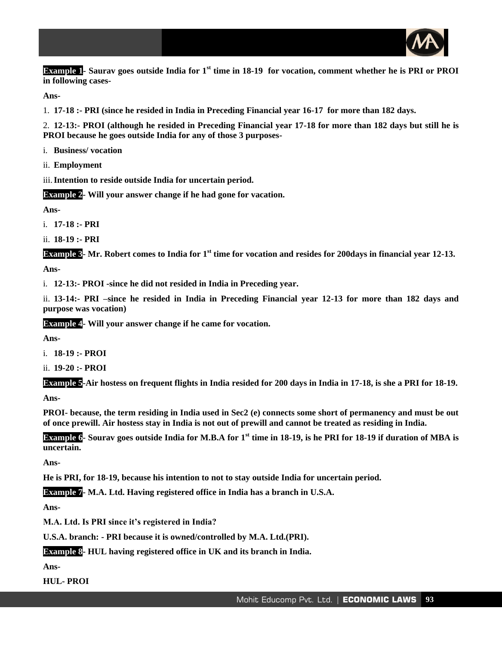

**Example 1- Saurav goes outside India for 1st time in 18-19 for vocation, comment whether he is PRI or PROI in following cases-**

**Ans-**

1. **17-18 :- PRI (since he resided in India in Preceding Financial year 16-17 for more than 182 days.**

2. **12-13:- PROI (although he resided in Preceding Financial year 17-18 for more than 182 days but still he is PROI because he goes outside India for any of those 3 purposes-**

- i. **Business/ vocation**
- ii. **Employment**
- iii.**Intention to reside outside India for uncertain period.**

**Example 2- Will your answer change if he had gone for vacation.**

**Ans-**

- i. **17-18 :- PRI**
- ii. **18-19 :- PRI**

**Example 3- Mr. Robert comes to India for 1st time for vocation and resides for 200days in financial year 12-13.**

**Ans-**

i. **12-13:- PROI -since he did not resided in India in Preceding year.**

ii. **13-14:- PRI –since he resided in India in Preceding Financial year 12-13 for more than 182 days and purpose was vocation)**

**Example 4- Will your answer change if he came for vocation.**

**Ans-**

- i. **18-19 :- PROI**
- ii. **19-20 :- PROI**

**Example 5-Air hostess on frequent flights in India resided for 200 days in India in 17-18, is she a PRI for 18-19.**

**Ans-**

**PROI- because, the term residing in India used in Sec2 (e) connects some short of permanency and must be out of once prewill. Air hostess stay in India is not out of prewill and cannot be treated as residing in India.**

**Example 6- Sourav goes outside India for M.B.A for 1st time in 18-19, is he PRI for 18-19 if duration of MBA is uncertain.**

**Ans-**

**He is PRI, for 18-19, because his intention to not to stay outside India for uncertain period.**

**Example 7- M.A. Ltd. Having registered office in India has a branch in U.S.A.**

**Ans-**

**M.A. Ltd. Is PRI since it"s registered in India?**

**U.S.A. branch: - PRI because it is owned/controlled by M.A. Ltd.(PRI).**

**Example 8- HUL having registered office in UK and its branch in India.**

**Ans-**

**HUL- PROI**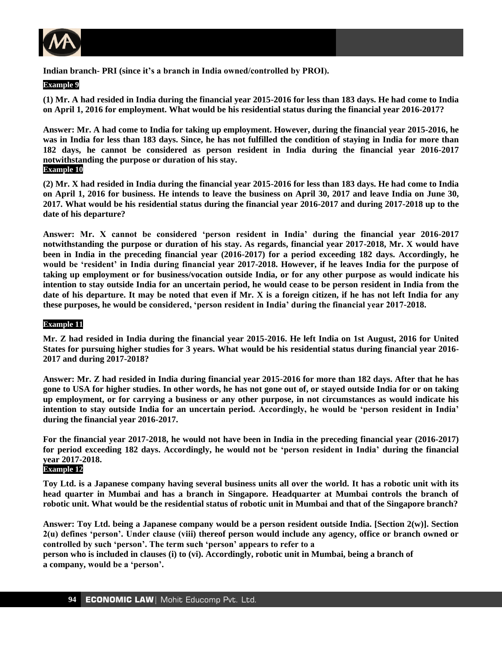

Indian branch-PRI (since it's a branch in India owned/controlled by PROI).

#### **Example 9**

**(1) Mr. A had resided in India during the financial year 2015-2016 for less than 183 days. He had come to India on April 1, 2016 for employment. What would be his residential status during the financial year 2016-2017?**

**Answer: Mr. A had come to India for taking up employment. However, during the financial year 2015-2016, he was in India for less than 183 days. Since, he has not fulfilled the condition of staying in India for more than 182 days, he cannot be considered as person resident in India during the financial year 2016-2017 notwithstanding the purpose or duration of his stay. Example 10**

**(2) Mr. X had resided in India during the financial year 2015-2016 for less than 183 days. He had come to India on April 1, 2016 for business. He intends to leave the business on April 30, 2017 and leave India on June 30, 2017. What would be his residential status during the financial year 2016-2017 and during 2017-2018 up to the date of his departure?**

**Answer: Mr. X cannot be considered "person resident in India" during the financial year 2016-2017 notwithstanding the purpose or duration of his stay. As regards, financial year 2017-2018, Mr. X would have been in India in the preceding financial year (2016-2017) for a period exceeding 182 days. Accordingly, he would be "resident" in India during financial year 2017-2018. However, if he leaves India for the purpose of taking up employment or for business/vocation outside India, or for any other purpose as would indicate his intention to stay outside India for an uncertain period, he would cease to be person resident in India from the date of his departure. It may be noted that even if Mr. X is a foreign citizen, if he has not left India for any these purposes, he would be considered, "person resident in India" during the financial year 2017-2018.**

#### **Example 11**

**Mr. Z had resided in India during the financial year 2015-2016. He left India on 1st August, 2016 for United States for pursuing higher studies for 3 years. What would be his residential status during financial year 2016- 2017 and during 2017-2018?**

**Answer: Mr. Z had resided in India during financial year 2015-2016 for more than 182 days. After that he has gone to USA for higher studies. In other words, he has not gone out of, or stayed outside India for or on taking up employment, or for carrying a business or any other purpose, in not circumstances as would indicate his intention to stay outside India for an uncertain period. Accordingly, he would be "person resident in India" during the financial year 2016-2017.**

**For the financial year 2017-2018, he would not have been in India in the preceding financial year (2016-2017) for period exceeding 182 days. Accordingly, he would not be "person resident in India" during the financial year 2017-2018.**

#### **Example 12**

**Toy Ltd. is a Japanese company having several business units all over the world. It has a robotic unit with its head quarter in Mumbai and has a branch in Singapore. Headquarter at Mumbai controls the branch of robotic unit. What would be the residential status of robotic unit in Mumbai and that of the Singapore branch?**

**Answer: Toy Ltd. being a Japanese company would be a person resident outside India. [Section 2(w)]. Section 2(u) defines "person". Under clause (viii) thereof person would include any agency, office or branch owned or controlled by such "person". The term such "person" appears to refer to a**

**person who is included in clauses (i) to (vi). Accordingly, robotic unit in Mumbai, being a branch of a company, would be a "person".**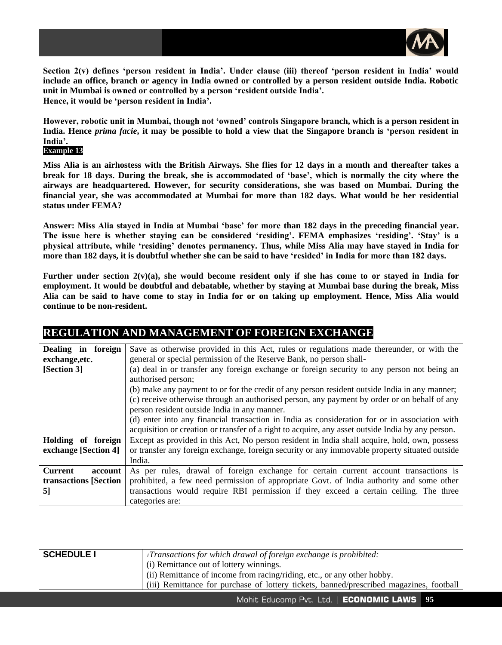

**Section 2(v) defines "person resident in India". Under clause (iii) thereof "person resident in India" would include an office, branch or agency in India owned or controlled by a person resident outside India. Robotic unit in Mumbai is owned or controlled by a person "resident outside India". Hence, it would be "person resident in India".**

**However, robotic unit in Mumbai, though not "owned" controls Singapore branch, which is a person resident in India. Hence** *prima facie***, it may be possible to hold a view that the Singapore branch is "person resident in India".**

#### **Example 13**

**Miss Alia is an airhostess with the British Airways. She flies for 12 days in a month and thereafter takes a break for 18 days. During the break, she is accommodated of "base", which is normally the city where the airways are headquartered. However, for security considerations, she was based on Mumbai. During the financial year, she was accommodated at Mumbai for more than 182 days. What would be her residential status under FEMA?**

**Answer: Miss Alia stayed in India at Mumbai "base" for more than 182 days in the preceding financial year. The issue here is whether staying can be considered "residing". FEMA emphasizes "residing". "Stay" is a physical attribute, while "residing" denotes permanency. Thus, while Miss Alia may have stayed in India for more than 182 days, it is doubtful whether she can be said to have "resided" in India for more than 182 days.**

**Further under section 2(v)(a), she would become resident only if she has come to or stayed in India for employment. It would be doubtful and debatable, whether by staying at Mumbai base during the break, Miss Alia can be said to have come to stay in India for or on taking up employment. Hence, Miss Alia would continue to be non-resident.**

## **REGULATION AND MANAGEMENT OF FOREIGN EXCHANGE**

| Dealing in<br>foreign                                                                                      | Save as otherwise provided in this Act, rules or regulations made thereunder, or with the         |
|------------------------------------------------------------------------------------------------------------|---------------------------------------------------------------------------------------------------|
| exchange, etc.                                                                                             | general or special permission of the Reserve Bank, no person shall-                               |
| (a) deal in or transfer any foreign exchange or foreign security to any person not being an<br>[Section 3] |                                                                                                   |
|                                                                                                            | authorised person;                                                                                |
|                                                                                                            | (b) make any payment to or for the credit of any person resident outside India in any manner;     |
|                                                                                                            | (c) receive otherwise through an authorised person, any payment by order or on behalf of any      |
| person resident outside India in any manner.                                                               |                                                                                                   |
|                                                                                                            | (d) enter into any financial transaction in India as consideration for or in association with     |
|                                                                                                            | acquisition or creation or transfer of a right to acquire, any asset outside India by any person. |
| Holding of foreign                                                                                         | Except as provided in this Act, No person resident in India shall acquire, hold, own, possess     |
| exchange [Section 4]                                                                                       | or transfer any foreign exchange, foreign security or any immovable property situated outside     |
|                                                                                                            | India.                                                                                            |
| <b>Current</b><br>account                                                                                  | As per rules, drawal of foreign exchange for certain current account transactions is              |
| transactions [Section]                                                                                     | prohibited, a few need permission of appropriate Govt. of India authority and some other          |
| 51                                                                                                         | transactions would require RBI permission if they exceed a certain ceiling. The three             |
|                                                                                                            | categories are:                                                                                   |

| <b>SCHEDULE I</b> | <i>ITransactions for which drawal of foreign exchange is prohibited:</i>                |
|-------------------|-----------------------------------------------------------------------------------------|
|                   | (i) Remittance out of lottery winnings.                                                 |
|                   | (ii) Remittance of income from racing/riding, etc., or any other hobby.                 |
|                   | (iii) Remittance for purchase of lottery tickets, banned/prescribed magazines, football |

Mohit Educomp Pvt. Ltd. | **ECONOMIC LAWS 95**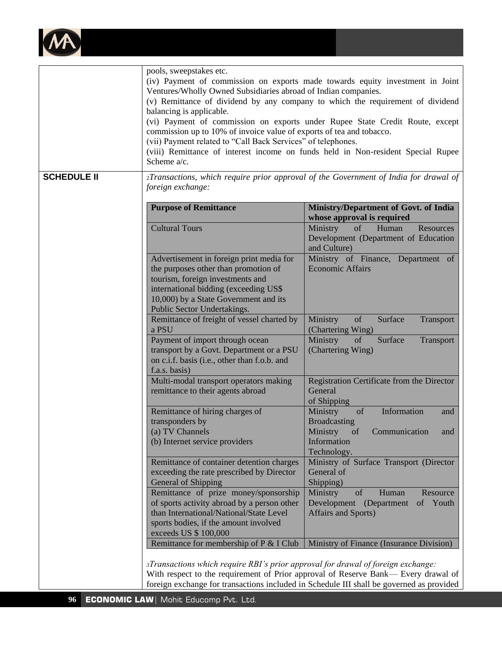

| VIN,               |                                                                                                                                                                                                                                                                              |                                                                                                                                                                                                                                                                                                                                     |
|--------------------|------------------------------------------------------------------------------------------------------------------------------------------------------------------------------------------------------------------------------------------------------------------------------|-------------------------------------------------------------------------------------------------------------------------------------------------------------------------------------------------------------------------------------------------------------------------------------------------------------------------------------|
|                    |                                                                                                                                                                                                                                                                              |                                                                                                                                                                                                                                                                                                                                     |
|                    | pools, sweepstakes etc.<br>Ventures/Wholly Owned Subsidiaries abroad of Indian companies.<br>balancing is applicable.<br>commission up to 10% of invoice value of exports of tea and tobacco.<br>(vii) Payment related to "Call Back Services" of telephones.<br>Scheme a/c. | (iv) Payment of commission on exports made towards equity investment in Joint<br>(v) Remittance of dividend by any company to which the requirement of dividend<br>(vi) Payment of commission on exports under Rupee State Credit Route, except<br>(viii) Remittance of interest income on funds held in Non-resident Special Rupee |
| <b>SCHEDULE II</b> | foreign exchange:<br><b>Purpose of Remittance</b>                                                                                                                                                                                                                            | 2Transactions, which require prior approval of the Government of India for drawal of<br><b>Ministry/Department of Govt. of India</b><br>whose approval is required                                                                                                                                                                  |
|                    | <b>Cultural Tours</b>                                                                                                                                                                                                                                                        | Ministry<br>of<br>Human<br>Resources<br>Development (Department of Education<br>and Culture)                                                                                                                                                                                                                                        |
|                    | Advertisement in foreign print media for<br>the purposes other than promotion of<br>tourism, foreign investments and<br>international bidding (exceeding US\$<br>10,000) by a State Government and its<br>Public Sector Undertakings.                                        | Ministry of Finance, Department of<br><b>Economic Affairs</b>                                                                                                                                                                                                                                                                       |
|                    | Remittance of freight of vessel charted by<br>a PSU                                                                                                                                                                                                                          | Ministry<br>of<br>Surface<br>Transport<br>(Chartering Wing)                                                                                                                                                                                                                                                                         |
|                    | Payment of import through ocean<br>transport by a Govt. Department or a PSU                                                                                                                                                                                                  | Ministry<br>of<br>Surface<br>Transport<br>(Chartering Wing)                                                                                                                                                                                                                                                                         |

| on c.i.f. basis (i.e., other than f.o.b. and |                                               |
|----------------------------------------------|-----------------------------------------------|
| f.a.s. basis)                                |                                               |
| Multi-modal transport operators making       | Registration Certificate from the Director    |
| remittance to their agents abroad            | General                                       |
|                                              | of Shipping                                   |
| Remittance of hiring charges of              | Information<br><b>Ministry</b><br>of<br>and   |
| transponders by                              | <b>Broadcasting</b>                           |
| (a) TV Channels                              | <b>Ministry</b><br>Communication<br>of<br>and |
| (b) Internet service providers               | Information                                   |
|                                              | Technology.                                   |
| Remittance of container detention charges    | Ministry of Surface Transport (Director)      |
| exceeding the rate prescribed by Director    | General of                                    |
| General of Shipping                          | Shipping)                                     |
| Remittance of prize money/sponsorship        | Ministry of Human<br>Resource                 |
| of sports activity abroad by a person other  | Development (Department of Youth              |
| than International/National/State Level      | <b>Affairs and Sports</b> )                   |
| sports bodies, if the amount involved        |                                               |
| exceeds US \$ 100,000                        |                                               |
| Remittance for membership of $P \& I Club$   | Ministry of Finance (Insurance Division)      |

*<sup>3</sup>Transactions which require RBI's prior approval for drawal of foreign exchange:* With respect to the requirement of Prior approval of Reserve Bank— Every drawal of foreign exchange for transactions included in Schedule III shall be governed as provided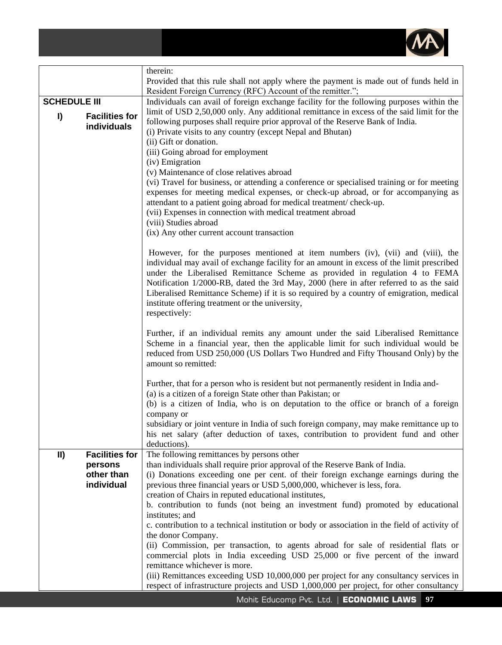

| Provided that this rule shall not apply where the payment is made out of funds held in<br>Resident Foreign Currency (RFC) Account of the remitter.";<br><b>SCHEDULE III</b><br>Individuals can avail of foreign exchange facility for the following purposes within the<br>limit of USD 2,50,000 only. Any additional remittance in excess of the said limit for the<br>$\mathbf{I}$<br><b>Facilities for</b><br>following purposes shall require prior approval of the Reserve Bank of India.<br>individuals<br>(i) Private visits to any country (except Nepal and Bhutan)<br>(ii) Gift or donation.<br>(iii) Going abroad for employment<br>(iv) Emigration<br>(v) Maintenance of close relatives abroad<br>(vi) Travel for business, or attending a conference or specialised training or for meeting<br>expenses for meeting medical expenses, or check-up abroad, or for accompanying as<br>attendant to a patient going abroad for medical treatment/check-up.<br>(vii) Expenses in connection with medical treatment abroad<br>(viii) Studies abroad<br>(ix) Any other current account transaction<br>However, for the purposes mentioned at item numbers (iv), (vii) and (viii), the<br>individual may avail of exchange facility for an amount in excess of the limit prescribed<br>under the Liberalised Remittance Scheme as provided in regulation 4 to FEMA<br>Notification 1/2000-RB, dated the 3rd May, 2000 (here in after referred to as the said<br>Liberalised Remittance Scheme) if it is so required by a country of emigration, medical<br>institute offering treatment or the university,<br>respectively:<br>Further, if an individual remits any amount under the said Liberalised Remittance<br>Scheme in a financial year, then the applicable limit for such individual would be<br>reduced from USD 250,000 (US Dollars Two Hundred and Fifty Thousand Only) by the<br>amount so remitted: |
|--------------------------------------------------------------------------------------------------------------------------------------------------------------------------------------------------------------------------------------------------------------------------------------------------------------------------------------------------------------------------------------------------------------------------------------------------------------------------------------------------------------------------------------------------------------------------------------------------------------------------------------------------------------------------------------------------------------------------------------------------------------------------------------------------------------------------------------------------------------------------------------------------------------------------------------------------------------------------------------------------------------------------------------------------------------------------------------------------------------------------------------------------------------------------------------------------------------------------------------------------------------------------------------------------------------------------------------------------------------------------------------------------------------------------------------------------------------------------------------------------------------------------------------------------------------------------------------------------------------------------------------------------------------------------------------------------------------------------------------------------------------------------------------------------------------------------------------------------------------------------------------------------------------------------|
|                                                                                                                                                                                                                                                                                                                                                                                                                                                                                                                                                                                                                                                                                                                                                                                                                                                                                                                                                                                                                                                                                                                                                                                                                                                                                                                                                                                                                                                                                                                                                                                                                                                                                                                                                                                                                                                                                                                          |
|                                                                                                                                                                                                                                                                                                                                                                                                                                                                                                                                                                                                                                                                                                                                                                                                                                                                                                                                                                                                                                                                                                                                                                                                                                                                                                                                                                                                                                                                                                                                                                                                                                                                                                                                                                                                                                                                                                                          |
|                                                                                                                                                                                                                                                                                                                                                                                                                                                                                                                                                                                                                                                                                                                                                                                                                                                                                                                                                                                                                                                                                                                                                                                                                                                                                                                                                                                                                                                                                                                                                                                                                                                                                                                                                                                                                                                                                                                          |
|                                                                                                                                                                                                                                                                                                                                                                                                                                                                                                                                                                                                                                                                                                                                                                                                                                                                                                                                                                                                                                                                                                                                                                                                                                                                                                                                                                                                                                                                                                                                                                                                                                                                                                                                                                                                                                                                                                                          |
|                                                                                                                                                                                                                                                                                                                                                                                                                                                                                                                                                                                                                                                                                                                                                                                                                                                                                                                                                                                                                                                                                                                                                                                                                                                                                                                                                                                                                                                                                                                                                                                                                                                                                                                                                                                                                                                                                                                          |
|                                                                                                                                                                                                                                                                                                                                                                                                                                                                                                                                                                                                                                                                                                                                                                                                                                                                                                                                                                                                                                                                                                                                                                                                                                                                                                                                                                                                                                                                                                                                                                                                                                                                                                                                                                                                                                                                                                                          |
|                                                                                                                                                                                                                                                                                                                                                                                                                                                                                                                                                                                                                                                                                                                                                                                                                                                                                                                                                                                                                                                                                                                                                                                                                                                                                                                                                                                                                                                                                                                                                                                                                                                                                                                                                                                                                                                                                                                          |
|                                                                                                                                                                                                                                                                                                                                                                                                                                                                                                                                                                                                                                                                                                                                                                                                                                                                                                                                                                                                                                                                                                                                                                                                                                                                                                                                                                                                                                                                                                                                                                                                                                                                                                                                                                                                                                                                                                                          |
|                                                                                                                                                                                                                                                                                                                                                                                                                                                                                                                                                                                                                                                                                                                                                                                                                                                                                                                                                                                                                                                                                                                                                                                                                                                                                                                                                                                                                                                                                                                                                                                                                                                                                                                                                                                                                                                                                                                          |
|                                                                                                                                                                                                                                                                                                                                                                                                                                                                                                                                                                                                                                                                                                                                                                                                                                                                                                                                                                                                                                                                                                                                                                                                                                                                                                                                                                                                                                                                                                                                                                                                                                                                                                                                                                                                                                                                                                                          |
|                                                                                                                                                                                                                                                                                                                                                                                                                                                                                                                                                                                                                                                                                                                                                                                                                                                                                                                                                                                                                                                                                                                                                                                                                                                                                                                                                                                                                                                                                                                                                                                                                                                                                                                                                                                                                                                                                                                          |
|                                                                                                                                                                                                                                                                                                                                                                                                                                                                                                                                                                                                                                                                                                                                                                                                                                                                                                                                                                                                                                                                                                                                                                                                                                                                                                                                                                                                                                                                                                                                                                                                                                                                                                                                                                                                                                                                                                                          |
|                                                                                                                                                                                                                                                                                                                                                                                                                                                                                                                                                                                                                                                                                                                                                                                                                                                                                                                                                                                                                                                                                                                                                                                                                                                                                                                                                                                                                                                                                                                                                                                                                                                                                                                                                                                                                                                                                                                          |
|                                                                                                                                                                                                                                                                                                                                                                                                                                                                                                                                                                                                                                                                                                                                                                                                                                                                                                                                                                                                                                                                                                                                                                                                                                                                                                                                                                                                                                                                                                                                                                                                                                                                                                                                                                                                                                                                                                                          |
|                                                                                                                                                                                                                                                                                                                                                                                                                                                                                                                                                                                                                                                                                                                                                                                                                                                                                                                                                                                                                                                                                                                                                                                                                                                                                                                                                                                                                                                                                                                                                                                                                                                                                                                                                                                                                                                                                                                          |
|                                                                                                                                                                                                                                                                                                                                                                                                                                                                                                                                                                                                                                                                                                                                                                                                                                                                                                                                                                                                                                                                                                                                                                                                                                                                                                                                                                                                                                                                                                                                                                                                                                                                                                                                                                                                                                                                                                                          |
|                                                                                                                                                                                                                                                                                                                                                                                                                                                                                                                                                                                                                                                                                                                                                                                                                                                                                                                                                                                                                                                                                                                                                                                                                                                                                                                                                                                                                                                                                                                                                                                                                                                                                                                                                                                                                                                                                                                          |
|                                                                                                                                                                                                                                                                                                                                                                                                                                                                                                                                                                                                                                                                                                                                                                                                                                                                                                                                                                                                                                                                                                                                                                                                                                                                                                                                                                                                                                                                                                                                                                                                                                                                                                                                                                                                                                                                                                                          |
| Further, that for a person who is resident but not permanently resident in India and-                                                                                                                                                                                                                                                                                                                                                                                                                                                                                                                                                                                                                                                                                                                                                                                                                                                                                                                                                                                                                                                                                                                                                                                                                                                                                                                                                                                                                                                                                                                                                                                                                                                                                                                                                                                                                                    |
| (a) is a citizen of a foreign State other than Pakistan; or<br>(b) is a citizen of India, who is on deputation to the office or branch of a foreign                                                                                                                                                                                                                                                                                                                                                                                                                                                                                                                                                                                                                                                                                                                                                                                                                                                                                                                                                                                                                                                                                                                                                                                                                                                                                                                                                                                                                                                                                                                                                                                                                                                                                                                                                                      |
| company or                                                                                                                                                                                                                                                                                                                                                                                                                                                                                                                                                                                                                                                                                                                                                                                                                                                                                                                                                                                                                                                                                                                                                                                                                                                                                                                                                                                                                                                                                                                                                                                                                                                                                                                                                                                                                                                                                                               |
| subsidiary or joint venture in India of such foreign company, may make remittance up to                                                                                                                                                                                                                                                                                                                                                                                                                                                                                                                                                                                                                                                                                                                                                                                                                                                                                                                                                                                                                                                                                                                                                                                                                                                                                                                                                                                                                                                                                                                                                                                                                                                                                                                                                                                                                                  |
| his net salary (after deduction of taxes, contribution to provident fund and other                                                                                                                                                                                                                                                                                                                                                                                                                                                                                                                                                                                                                                                                                                                                                                                                                                                                                                                                                                                                                                                                                                                                                                                                                                                                                                                                                                                                                                                                                                                                                                                                                                                                                                                                                                                                                                       |
| deductions).                                                                                                                                                                                                                                                                                                                                                                                                                                                                                                                                                                                                                                                                                                                                                                                                                                                                                                                                                                                                                                                                                                                                                                                                                                                                                                                                                                                                                                                                                                                                                                                                                                                                                                                                                                                                                                                                                                             |
| <b>Facilities for</b><br>$\mathsf{II}$<br>The following remittances by persons other                                                                                                                                                                                                                                                                                                                                                                                                                                                                                                                                                                                                                                                                                                                                                                                                                                                                                                                                                                                                                                                                                                                                                                                                                                                                                                                                                                                                                                                                                                                                                                                                                                                                                                                                                                                                                                     |
| than individuals shall require prior approval of the Reserve Bank of India.<br>persons                                                                                                                                                                                                                                                                                                                                                                                                                                                                                                                                                                                                                                                                                                                                                                                                                                                                                                                                                                                                                                                                                                                                                                                                                                                                                                                                                                                                                                                                                                                                                                                                                                                                                                                                                                                                                                   |
| other than<br>(i) Donations exceeding one per cent. of their foreign exchange earnings during the                                                                                                                                                                                                                                                                                                                                                                                                                                                                                                                                                                                                                                                                                                                                                                                                                                                                                                                                                                                                                                                                                                                                                                                                                                                                                                                                                                                                                                                                                                                                                                                                                                                                                                                                                                                                                        |
| previous three financial years or USD 5,000,000, whichever is less, fora.<br>individual                                                                                                                                                                                                                                                                                                                                                                                                                                                                                                                                                                                                                                                                                                                                                                                                                                                                                                                                                                                                                                                                                                                                                                                                                                                                                                                                                                                                                                                                                                                                                                                                                                                                                                                                                                                                                                  |
| creation of Chairs in reputed educational institutes,                                                                                                                                                                                                                                                                                                                                                                                                                                                                                                                                                                                                                                                                                                                                                                                                                                                                                                                                                                                                                                                                                                                                                                                                                                                                                                                                                                                                                                                                                                                                                                                                                                                                                                                                                                                                                                                                    |
| b. contribution to funds (not being an investment fund) promoted by educational                                                                                                                                                                                                                                                                                                                                                                                                                                                                                                                                                                                                                                                                                                                                                                                                                                                                                                                                                                                                                                                                                                                                                                                                                                                                                                                                                                                                                                                                                                                                                                                                                                                                                                                                                                                                                                          |
| institutes; and<br>c. contribution to a technical institution or body or association in the field of activity of                                                                                                                                                                                                                                                                                                                                                                                                                                                                                                                                                                                                                                                                                                                                                                                                                                                                                                                                                                                                                                                                                                                                                                                                                                                                                                                                                                                                                                                                                                                                                                                                                                                                                                                                                                                                         |
| the donor Company.                                                                                                                                                                                                                                                                                                                                                                                                                                                                                                                                                                                                                                                                                                                                                                                                                                                                                                                                                                                                                                                                                                                                                                                                                                                                                                                                                                                                                                                                                                                                                                                                                                                                                                                                                                                                                                                                                                       |
| (ii) Commission, per transaction, to agents abroad for sale of residential flats or                                                                                                                                                                                                                                                                                                                                                                                                                                                                                                                                                                                                                                                                                                                                                                                                                                                                                                                                                                                                                                                                                                                                                                                                                                                                                                                                                                                                                                                                                                                                                                                                                                                                                                                                                                                                                                      |
| commercial plots in India exceeding USD 25,000 or five percent of the inward                                                                                                                                                                                                                                                                                                                                                                                                                                                                                                                                                                                                                                                                                                                                                                                                                                                                                                                                                                                                                                                                                                                                                                                                                                                                                                                                                                                                                                                                                                                                                                                                                                                                                                                                                                                                                                             |
| remittance whichever is more.                                                                                                                                                                                                                                                                                                                                                                                                                                                                                                                                                                                                                                                                                                                                                                                                                                                                                                                                                                                                                                                                                                                                                                                                                                                                                                                                                                                                                                                                                                                                                                                                                                                                                                                                                                                                                                                                                            |
| (iii) Remittances exceeding USD 10,000,000 per project for any consultancy services in<br>respect of infrastructure projects and USD 1,000,000 per project, for other consultancy                                                                                                                                                                                                                                                                                                                                                                                                                                                                                                                                                                                                                                                                                                                                                                                                                                                                                                                                                                                                                                                                                                                                                                                                                                                                                                                                                                                                                                                                                                                                                                                                                                                                                                                                        |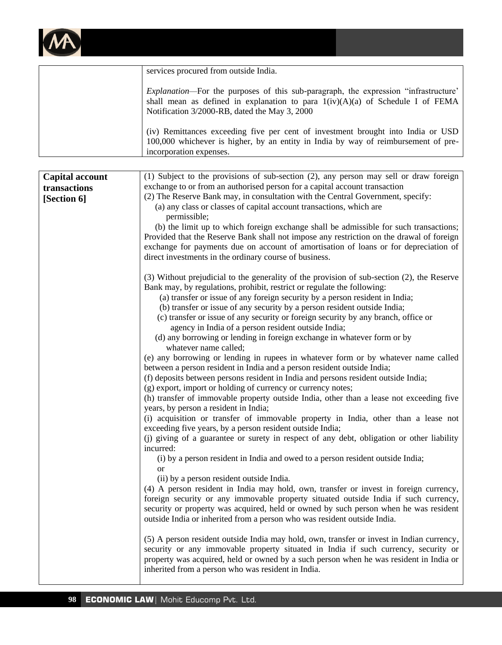

| services procured from outside India.                                                                                                                                                                                            |
|----------------------------------------------------------------------------------------------------------------------------------------------------------------------------------------------------------------------------------|
| <i>Explanation</i> —For the purposes of this sub-paragraph, the expression "infrastructure"<br>shall mean as defined in explanation to para $1(iv)(A)(a)$ of Schedule I of FEMA<br>Notification 3/2000-RB, dated the May 3, 2000 |
| (iv) Remittances exceeding five per cent of investment brought into India or USD<br>100,000 whichever is higher, by an entity in India by way of reimbursement of pre-<br>incorporation expenses.                                |

| <b>Capital account</b> | (1) Subject to the provisions of sub-section (2), any person may sell or draw foreign                                                                                                                                                                                     |
|------------------------|---------------------------------------------------------------------------------------------------------------------------------------------------------------------------------------------------------------------------------------------------------------------------|
| transactions           | exchange to or from an authorised person for a capital account transaction                                                                                                                                                                                                |
| [Section 6]            | (2) The Reserve Bank may, in consultation with the Central Government, specify:                                                                                                                                                                                           |
|                        | (a) any class or classes of capital account transactions, which are<br>permissible;                                                                                                                                                                                       |
|                        | (b) the limit up to which foreign exchange shall be admissible for such transactions;                                                                                                                                                                                     |
|                        | Provided that the Reserve Bank shall not impose any restriction on the drawal of foreign<br>exchange for payments due on account of amortisation of loans or for depreciation of                                                                                          |
|                        | direct investments in the ordinary course of business.                                                                                                                                                                                                                    |
|                        | (3) Without prejudicial to the generality of the provision of sub-section (2), the Reserve                                                                                                                                                                                |
|                        | Bank may, by regulations, prohibit, restrict or regulate the following:                                                                                                                                                                                                   |
|                        | (a) transfer or issue of any foreign security by a person resident in India;                                                                                                                                                                                              |
|                        | (b) transfer or issue of any security by a person resident outside India;                                                                                                                                                                                                 |
|                        | (c) transfer or issue of any security or foreign security by any branch, office or<br>agency in India of a person resident outside India;                                                                                                                                 |
|                        | (d) any borrowing or lending in foreign exchange in whatever form or by<br>whatever name called;                                                                                                                                                                          |
|                        | (e) any borrowing or lending in rupees in whatever form or by whatever name called                                                                                                                                                                                        |
|                        | between a person resident in India and a person resident outside India;                                                                                                                                                                                                   |
|                        | (f) deposits between persons resident in India and persons resident outside India;                                                                                                                                                                                        |
|                        | (g) export, import or holding of currency or currency notes;                                                                                                                                                                                                              |
|                        | (h) transfer of immovable property outside India, other than a lease not exceeding five                                                                                                                                                                                   |
|                        | years, by person a resident in India;                                                                                                                                                                                                                                     |
|                        | (i) acquisition or transfer of immovable property in India, other than a lease not                                                                                                                                                                                        |
|                        | exceeding five years, by a person resident outside India;                                                                                                                                                                                                                 |
|                        | (j) giving of a guarantee or surety in respect of any debt, obligation or other liability                                                                                                                                                                                 |
|                        | incurred:                                                                                                                                                                                                                                                                 |
|                        | (i) by a person resident in India and owed to a person resident outside India;                                                                                                                                                                                            |
|                        | <sub>or</sub><br>(ii) by a person resident outside India.                                                                                                                                                                                                                 |
|                        | (4) A person resident in India may hold, own, transfer or invest in foreign currency,                                                                                                                                                                                     |
|                        | foreign security or any immovable property situated outside India if such currency,                                                                                                                                                                                       |
|                        | security or property was acquired, held or owned by such person when he was resident                                                                                                                                                                                      |
|                        | outside India or inherited from a person who was resident outside India.                                                                                                                                                                                                  |
|                        | (5) A person resident outside India may hold, own, transfer or invest in Indian currency,<br>security or any immovable property situated in India if such currency, security or<br>property was acquired, held or owned by a such person when he was resident in India or |
|                        | inherited from a person who was resident in India.                                                                                                                                                                                                                        |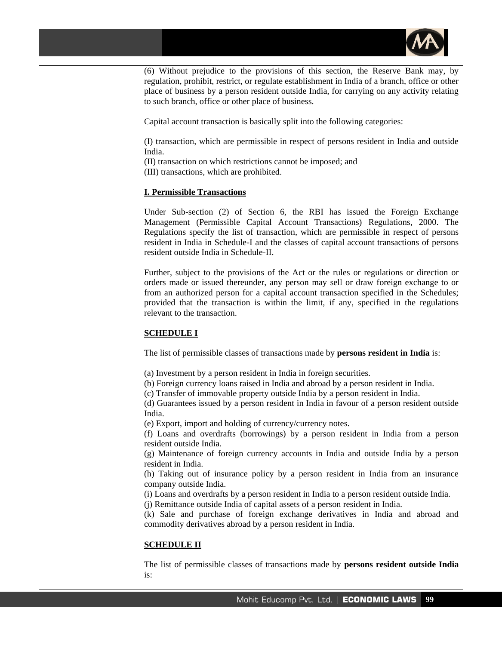

(6) Without prejudice to the provisions of this section, the Reserve Bank may, by regulation, prohibit, restrict, or regulate establishment in India of a branch, office or other place of business by a person resident outside India, for carrying on any activity relating to such branch, office or other place of business.

Capital account transaction is basically split into the following categories:

(I) transaction, which are permissible in respect of persons resident in India and outside India.

(II) transaction on which restrictions cannot be imposed; and

(III) transactions, which are prohibited.

#### **I. Permissible Transactions**

Under Sub-section (2) of Section 6, the RBI has issued the Foreign Exchange Management (Permissible Capital Account Transactions) Regulations, 2000. The Regulations specify the list of transaction, which are permissible in respect of persons resident in India in Schedule-I and the classes of capital account transactions of persons resident outside India in Schedule-II.

Further, subject to the provisions of the Act or the rules or regulations or direction or orders made or issued thereunder, any person may sell or draw foreign exchange to or from an authorized person for a capital account transaction specified in the Schedules; provided that the transaction is within the limit, if any, specified in the regulations relevant to the transaction.

### **SCHEDULE I**

The list of permissible classes of transactions made by **persons resident in India** is:

(a) Investment by a person resident in India in foreign securities.

(b) Foreign currency loans raised in India and abroad by a person resident in India.

(c) Transfer of immovable property outside India by a person resident in India.

(d) Guarantees issued by a person resident in India in favour of a person resident outside India.

(e) Export, import and holding of currency/currency notes.

(f) Loans and overdrafts (borrowings) by a person resident in India from a person resident outside India.

(g) Maintenance of foreign currency accounts in India and outside India by a person resident in India.

(h) Taking out of insurance policy by a person resident in India from an insurance company outside India.

(i) Loans and overdrafts by a person resident in India to a person resident outside India.

(j) Remittance outside India of capital assets of a person resident in India.

(k) Sale and purchase of foreign exchange derivatives in India and abroad and commodity derivatives abroad by a person resident in India.

#### **SCHEDULE II**

The list of permissible classes of transactions made by **persons resident outside India**  is: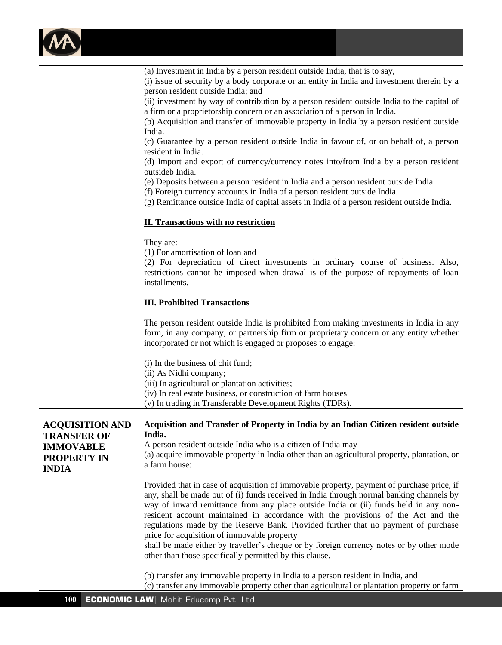

| (a) Investment in India by a person resident outside India, that is to say,                                                       |
|-----------------------------------------------------------------------------------------------------------------------------------|
| (i) issue of security by a body corporate or an entity in India and investment therein by a<br>person resident outside India; and |
| (ii) investment by way of contribution by a person resident outside India to the capital of                                       |
| a firm or a proprietorship concern or an association of a person in India.                                                        |
| (b) Acquisition and transfer of immovable property in India by a person resident outside                                          |
| India.                                                                                                                            |
| (c) Guarantee by a person resident outside India in favour of, or on behalf of, a person<br>resident in India.                    |
| (d) Import and export of currency/currency notes into/from India by a person resident<br>outsideb India.                          |
| (e) Deposits between a person resident in India and a person resident outside India.                                              |
| (f) Foreign currency accounts in India of a person resident outside India.                                                        |
| (g) Remittance outside India of capital assets in India of a person resident outside India.                                       |
| <b>II. Transactions with no restriction</b>                                                                                       |
|                                                                                                                                   |
| They are:                                                                                                                         |
| (1) For amortisation of loan and                                                                                                  |
| (2) For depreciation of direct investments in ordinary course of business. Also,                                                  |
| restrictions cannot be imposed when drawal is of the purpose of repayments of loan<br>installments.                               |
|                                                                                                                                   |
| <b>III. Prohibited Transactions</b>                                                                                               |
| The person resident outside India is prohibited from making investments in India in any                                           |
| form, in any company, or partnership firm or proprietary concern or any entity whether                                            |
| incorporated or not which is engaged or proposes to engage:                                                                       |
|                                                                                                                                   |
| (i) In the business of chit fund;<br>(ii) As Nidhi company;                                                                       |
| (iii) In agricultural or plantation activities;                                                                                   |
| (iv) In real estate business, or construction of farm houses                                                                      |
| (v) In trading in Transferable Development Rights (TDRs).                                                                         |
|                                                                                                                                   |

| <b>ACQUISITION AND</b> | Acquisition and Transfer of Property in India by an Indian Citizen resident outside                                                                                                                                                                                                                                                                                                                                                                                                                                                                                                                                                                                                                                                                                                                                                            |
|------------------------|------------------------------------------------------------------------------------------------------------------------------------------------------------------------------------------------------------------------------------------------------------------------------------------------------------------------------------------------------------------------------------------------------------------------------------------------------------------------------------------------------------------------------------------------------------------------------------------------------------------------------------------------------------------------------------------------------------------------------------------------------------------------------------------------------------------------------------------------|
| <b>TRANSFER OF</b>     | India.                                                                                                                                                                                                                                                                                                                                                                                                                                                                                                                                                                                                                                                                                                                                                                                                                                         |
| <b>IMMOVABLE</b>       | A person resident outside India who is a citizen of India may—                                                                                                                                                                                                                                                                                                                                                                                                                                                                                                                                                                                                                                                                                                                                                                                 |
| <b>PROPERTY IN</b>     | (a) acquire immovable property in India other than an agricultural property, plantation, or                                                                                                                                                                                                                                                                                                                                                                                                                                                                                                                                                                                                                                                                                                                                                    |
| <b>INDIA</b>           | a farm house:                                                                                                                                                                                                                                                                                                                                                                                                                                                                                                                                                                                                                                                                                                                                                                                                                                  |
|                        | Provided that in case of acquisition of immovable property, payment of purchase price, if<br>any, shall be made out of (i) funds received in India through normal banking channels by<br>way of inward remittance from any place outside India or (ii) funds held in any non-<br>resident account maintained in accordance with the provisions of the Act and the<br>regulations made by the Reserve Bank. Provided further that no payment of purchase<br>price for acquisition of immovable property<br>shall be made either by traveller's cheque or by foreign currency notes or by other mode<br>other than those specifically permitted by this clause.<br>(b) transfer any immovable property in India to a person resident in India, and<br>(c) transfer any immovable property other than agricultural or plantation property or farm |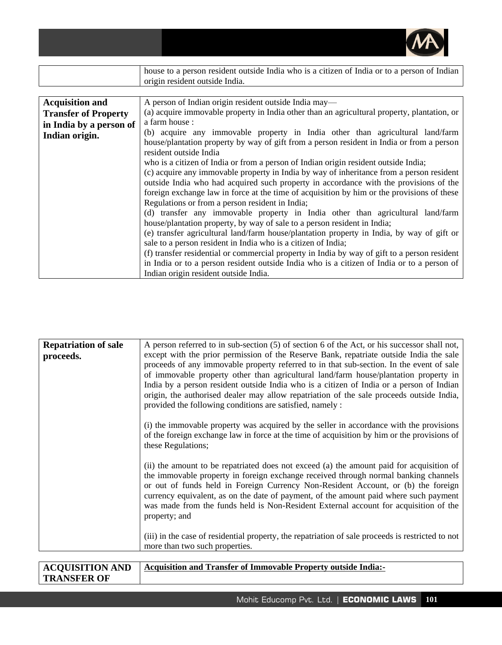

| house to a person resident outside India who is a citizen of India or to a person of Indian<br>origin resident outside India. |
|-------------------------------------------------------------------------------------------------------------------------------|
|                                                                                                                               |

| <b>Acquisition and</b>      | A person of Indian origin resident outside India may—                                                                                                                                                                                                                                                                                                                                                                                                                                                                                                                                                                                                                                                                                                                                                                                                                                                                                                                                                                                                         |
|-----------------------------|---------------------------------------------------------------------------------------------------------------------------------------------------------------------------------------------------------------------------------------------------------------------------------------------------------------------------------------------------------------------------------------------------------------------------------------------------------------------------------------------------------------------------------------------------------------------------------------------------------------------------------------------------------------------------------------------------------------------------------------------------------------------------------------------------------------------------------------------------------------------------------------------------------------------------------------------------------------------------------------------------------------------------------------------------------------|
| <b>Transfer of Property</b> | (a) acquire immovable property in India other than an agricultural property, plantation, or                                                                                                                                                                                                                                                                                                                                                                                                                                                                                                                                                                                                                                                                                                                                                                                                                                                                                                                                                                   |
| in India by a person of     | a farm house:                                                                                                                                                                                                                                                                                                                                                                                                                                                                                                                                                                                                                                                                                                                                                                                                                                                                                                                                                                                                                                                 |
| Indian origin.              | (b) acquire any immovable property in India other than agricultural land/farm<br>house/plantation property by way of gift from a person resident in India or from a person<br>resident outside India<br>who is a citizen of India or from a person of Indian origin resident outside India;<br>(c) acquire any immovable property in India by way of inheritance from a person resident<br>outside India who had acquired such property in accordance with the provisions of the<br>foreign exchange law in force at the time of acquisition by him or the provisions of these<br>Regulations or from a person resident in India;<br>(d) transfer any immovable property in India other than agricultural land/farm<br>house/plantation property, by way of sale to a person resident in India;<br>(e) transfer agricultural land/farm house/plantation property in India, by way of gift or<br>sale to a person resident in India who is a citizen of India;<br>(f) transfer residential or commercial property in India by way of gift to a person resident |
|                             | in India or to a person resident outside India who is a citizen of India or to a person of                                                                                                                                                                                                                                                                                                                                                                                                                                                                                                                                                                                                                                                                                                                                                                                                                                                                                                                                                                    |
|                             | Indian origin resident outside India.                                                                                                                                                                                                                                                                                                                                                                                                                                                                                                                                                                                                                                                                                                                                                                                                                                                                                                                                                                                                                         |

| <b>Repatriation of sale</b><br>proceeds. | A person referred to in sub-section (5) of section 6 of the Act, or his successor shall not,<br>except with the prior permission of the Reserve Bank, repatriate outside India the sale<br>proceeds of any immovable property referred to in that sub-section. In the event of sale<br>of immovable property other than agricultural land/farm house/plantation property in<br>India by a person resident outside India who is a citizen of India or a person of Indian<br>origin, the authorised dealer may allow repatriation of the sale proceeds outside India,<br>provided the following conditions are satisfied, namely : |
|------------------------------------------|----------------------------------------------------------------------------------------------------------------------------------------------------------------------------------------------------------------------------------------------------------------------------------------------------------------------------------------------------------------------------------------------------------------------------------------------------------------------------------------------------------------------------------------------------------------------------------------------------------------------------------|
|                                          | (i) the immovable property was acquired by the seller in accordance with the provisions<br>of the foreign exchange law in force at the time of acquisition by him or the provisions of<br>these Regulations;                                                                                                                                                                                                                                                                                                                                                                                                                     |
|                                          | (ii) the amount to be repatriated does not exceed (a) the amount paid for acquisition of<br>the immovable property in foreign exchange received through normal banking channels<br>or out of funds held in Foreign Currency Non-Resident Account, or (b) the foreign<br>currency equivalent, as on the date of payment, of the amount paid where such payment<br>was made from the funds held is Non-Resident External account for acquisition of the<br>property; and<br>(iii) in the case of residential property, the repatriation of sale proceeds is restricted to not                                                      |
|                                          | more than two such properties.                                                                                                                                                                                                                                                                                                                                                                                                                                                                                                                                                                                                   |

| <b>ACQUISITION AND</b> | Acquisition and Transfer of Immovable Property outside India:- |
|------------------------|----------------------------------------------------------------|
| <b>TRANSFER OF</b>     |                                                                |
|                        |                                                                |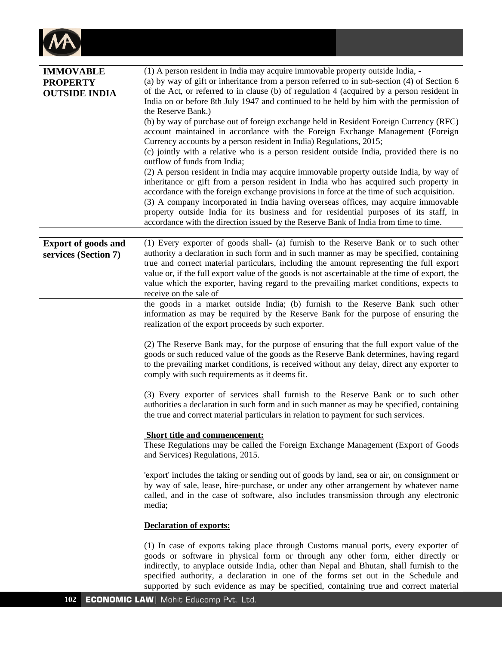

| <b>IMMOVABLE</b>     | (1) A person resident in India may acquire immovable property outside India, -                |
|----------------------|-----------------------------------------------------------------------------------------------|
| <b>PROPERTY</b>      | (a) by way of gift or inheritance from a person referred to in sub-section $(4)$ of Section 6 |
| <b>OUTSIDE INDIA</b> | of the Act, or referred to in clause (b) of regulation 4 (acquired by a person resident in    |
|                      | India on or before 8th July 1947 and continued to be held by him with the permission of       |
|                      | the Reserve Bank.)                                                                            |
|                      | (b) by way of purchase out of foreign exchange held in Resident Foreign Currency (RFC)        |
|                      | account maintained in accordance with the Foreign Exchange Management (Foreign                |
|                      | Currency accounts by a person resident in India) Regulations, 2015;                           |
|                      | (c) jointly with a relative who is a person resident outside India, provided there is no      |
|                      | outflow of funds from India;                                                                  |
|                      | (2) A person resident in India may acquire immovable property outside India, by way of        |
|                      | inheritance or gift from a person resident in India who has acquired such property in         |
|                      | accordance with the foreign exchange provisions in force at the time of such acquisition.     |
|                      | (3) A company incorporated in India having overseas offices, may acquire immovable            |
|                      | property outside India for its business and for residential purposes of its staff, in         |
|                      | accordance with the direction issued by the Reserve Bank of India from time to time.          |

| <b>Export of goods and</b><br>services (Section 7) | (1) Every exporter of goods shall- (a) furnish to the Reserve Bank or to such other<br>authority a declaration in such form and in such manner as may be specified, containing<br>true and correct material particulars, including the amount representing the full export<br>value or, if the full export value of the goods is not ascertainable at the time of export, the<br>value which the exporter, having regard to the prevailing market conditions, expects to<br>receive on the sale of |
|----------------------------------------------------|----------------------------------------------------------------------------------------------------------------------------------------------------------------------------------------------------------------------------------------------------------------------------------------------------------------------------------------------------------------------------------------------------------------------------------------------------------------------------------------------------|
|                                                    | the goods in a market outside India; (b) furnish to the Reserve Bank such other<br>information as may be required by the Reserve Bank for the purpose of ensuring the<br>realization of the export proceeds by such exporter.                                                                                                                                                                                                                                                                      |
|                                                    | (2) The Reserve Bank may, for the purpose of ensuring that the full export value of the<br>goods or such reduced value of the goods as the Reserve Bank determines, having regard<br>to the prevailing market conditions, is received without any delay, direct any exporter to<br>comply with such requirements as it deems fit.                                                                                                                                                                  |
|                                                    | (3) Every exporter of services shall furnish to the Reserve Bank or to such other<br>authorities a declaration in such form and in such manner as may be specified, containing<br>the true and correct material particulars in relation to payment for such services.                                                                                                                                                                                                                              |
|                                                    | <b>Short title and commencement:</b><br>These Regulations may be called the Foreign Exchange Management (Export of Goods<br>and Services) Regulations, 2015.                                                                                                                                                                                                                                                                                                                                       |
|                                                    | export includes the taking or sending out of goods by land, sea or air, on consignment or<br>by way of sale, lease, hire-purchase, or under any other arrangement by whatever name<br>called, and in the case of software, also includes transmission through any electronic<br>media;                                                                                                                                                                                                             |
|                                                    | <b>Declaration of exports:</b>                                                                                                                                                                                                                                                                                                                                                                                                                                                                     |
|                                                    | (1) In case of exports taking place through Customs manual ports, every exporter of<br>goods or software in physical form or through any other form, either directly or<br>indirectly, to any place outside India, other than Nepal and Bhutan, shall furnish to the<br>specified authority, a declaration in one of the forms set out in the Schedule and<br>supported by such evidence as may be specified, containing true and correct material                                                 |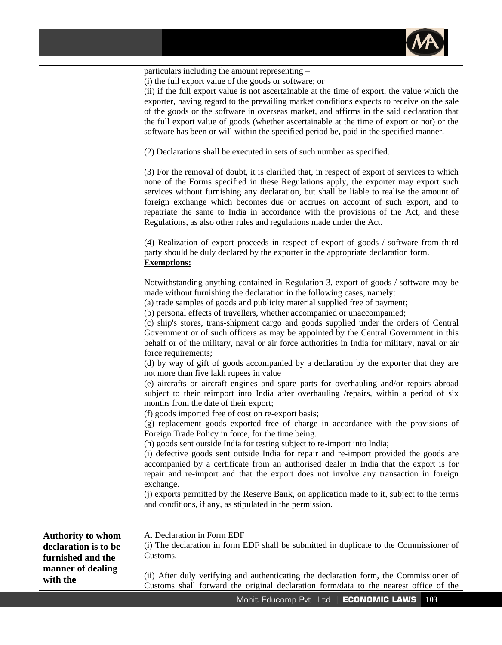

|                                                                                            | particulars including the amount representing –<br>(i) the full export value of the goods or software; or<br>(ii) if the full export value is not ascertainable at the time of export, the value which the<br>exporter, having regard to the prevailing market conditions expects to receive on the sale<br>of the goods or the software in overseas market, and affirms in the said declaration that<br>the full export value of goods (whether ascertainable at the time of export or not) or the<br>software has been or will within the specified period be, paid in the specified manner.                                         |
|--------------------------------------------------------------------------------------------|----------------------------------------------------------------------------------------------------------------------------------------------------------------------------------------------------------------------------------------------------------------------------------------------------------------------------------------------------------------------------------------------------------------------------------------------------------------------------------------------------------------------------------------------------------------------------------------------------------------------------------------|
|                                                                                            | (2) Declarations shall be executed in sets of such number as specified.                                                                                                                                                                                                                                                                                                                                                                                                                                                                                                                                                                |
|                                                                                            | (3) For the removal of doubt, it is clarified that, in respect of export of services to which<br>none of the Forms specified in these Regulations apply, the exporter may export such<br>services without furnishing any declaration, but shall be liable to realise the amount of<br>foreign exchange which becomes due or accrues on account of such export, and to<br>repatriate the same to India in accordance with the provisions of the Act, and these<br>Regulations, as also other rules and regulations made under the Act.                                                                                                  |
|                                                                                            | (4) Realization of export proceeds in respect of export of goods / software from third<br>party should be duly declared by the exporter in the appropriate declaration form.<br><b>Exemptions:</b>                                                                                                                                                                                                                                                                                                                                                                                                                                     |
|                                                                                            | Notwithstanding anything contained in Regulation 3, export of goods / software may be<br>made without furnishing the declaration in the following cases, namely:<br>(a) trade samples of goods and publicity material supplied free of payment;<br>(b) personal effects of travellers, whether accompanied or unaccompanied;<br>(c) ship's stores, trans-shipment cargo and goods supplied under the orders of Central<br>Government or of such officers as may be appointed by the Central Government in this<br>behalf or of the military, naval or air force authorities in India for military, naval or air<br>force requirements; |
|                                                                                            | (d) by way of gift of goods accompanied by a declaration by the exporter that they are<br>not more than five lakh rupees in value<br>(e) aircrafts or aircraft engines and spare parts for overhauling and/or repairs abroad<br>subject to their reimport into India after overhauling /repairs, within a period of six                                                                                                                                                                                                                                                                                                                |
|                                                                                            | months from the date of their export;<br>(f) goods imported free of cost on re-export basis;<br>(g) replacement goods exported free of charge in accordance with the provisions of<br>Foreign Trade Policy in force, for the time being.                                                                                                                                                                                                                                                                                                                                                                                               |
|                                                                                            | (h) goods sent outside India for testing subject to re-import into India;<br>(i) defective goods sent outside India for repair and re-import provided the goods are<br>accompanied by a certificate from an authorised dealer in India that the export is for<br>repair and re-import and that the export does not involve any transaction in foreign<br>exchange.                                                                                                                                                                                                                                                                     |
|                                                                                            | (j) exports permitted by the Reserve Bank, on application made to it, subject to the terms<br>and conditions, if any, as stipulated in the permission.                                                                                                                                                                                                                                                                                                                                                                                                                                                                                 |
|                                                                                            |                                                                                                                                                                                                                                                                                                                                                                                                                                                                                                                                                                                                                                        |
| <b>Authority to whom</b><br>declaration is to be<br>furnished and the<br>manner of dealing | A. Declaration in Form EDF<br>(i) The declaration in form EDF shall be submitted in duplicate to the Commissioner of<br>Customs.                                                                                                                                                                                                                                                                                                                                                                                                                                                                                                       |
| with the                                                                                   | (ii) After duly verifying and authenticating the declaration form, the Commissioner of<br>Customs shall forward the original declaration form/data to the nearest office of the                                                                                                                                                                                                                                                                                                                                                                                                                                                        |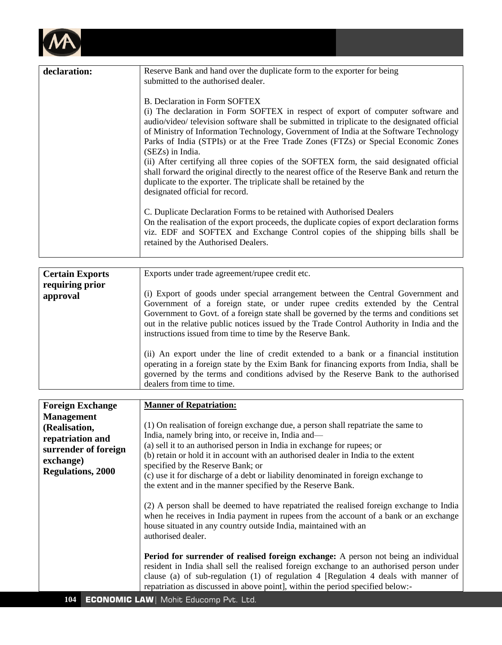

| declaration: | Reserve Bank and hand over the duplicate form to the exporter for being                      |
|--------------|----------------------------------------------------------------------------------------------|
|              | submitted to the authorised dealer.                                                          |
|              |                                                                                              |
|              | B. Declaration in Form SOFTEX                                                                |
|              | (i) The declaration in Form SOFTEX in respect of export of computer software and             |
|              | audio/video/ television software shall be submitted in triplicate to the designated official |
|              | of Ministry of Information Technology, Government of India at the Software Technology        |
|              | Parks of India (STPIs) or at the Free Trade Zones (FTZs) or Special Economic Zones           |
|              | (SEZs) in India.                                                                             |
|              |                                                                                              |
|              | (ii) After certifying all three copies of the SOFTEX form, the said designated official      |
|              | shall forward the original directly to the nearest office of the Reserve Bank and return the |
|              | duplicate to the exporter. The triplicate shall be retained by the                           |
|              | designated official for record.                                                              |
|              |                                                                                              |
|              | C. Duplicate Declaration Forms to be retained with Authorised Dealers                        |
|              | On the realisation of the export proceeds, the duplicate copies of export declaration forms  |
|              | viz. EDF and SOFTEX and Exchange Control copies of the shipping bills shall be               |
|              | retained by the Authorised Dealers.                                                          |
|              |                                                                                              |

| <b>Certain Exports</b>      | Exports under trade agreement/rupee credit etc.                                                                                                                                                                                                                                                                                                                                                                          |
|-----------------------------|--------------------------------------------------------------------------------------------------------------------------------------------------------------------------------------------------------------------------------------------------------------------------------------------------------------------------------------------------------------------------------------------------------------------------|
| requiring prior<br>approval | (i) Export of goods under special arrangement between the Central Government and<br>Government of a foreign state, or under rupee credits extended by the Central<br>Government to Govt. of a foreign state shall be governed by the terms and conditions set<br>out in the relative public notices issued by the Trade Control Authority in India and the<br>instructions issued from time to time by the Reserve Bank. |
|                             | (ii) An export under the line of credit extended to a bank or a financial institution<br>operating in a foreign state by the Exim Bank for financing exports from India, shall be<br>governed by the terms and conditions advised by the Reserve Bank to the authorised<br>dealers from time to time.                                                                                                                    |

| <b>Foreign Exchange</b>                                                                                                 | <b>Manner of Repatriation:</b>                                                                                                                                                                                                                                                                                                                                                                                                                                                                                                                                                                                                                                                                                                                                                  |
|-------------------------------------------------------------------------------------------------------------------------|---------------------------------------------------------------------------------------------------------------------------------------------------------------------------------------------------------------------------------------------------------------------------------------------------------------------------------------------------------------------------------------------------------------------------------------------------------------------------------------------------------------------------------------------------------------------------------------------------------------------------------------------------------------------------------------------------------------------------------------------------------------------------------|
| <b>Management</b><br>(Realisation,<br>repatriation and<br>surrender of foreign<br>exchange)<br><b>Regulations, 2000</b> | (1) On realisation of foreign exchange due, a person shall repatriate the same to<br>India, namely bring into, or receive in, India and—<br>(a) sell it to an authorised person in India in exchange for rupees; or<br>(b) retain or hold it in account with an authorised dealer in India to the extent<br>specified by the Reserve Bank; or<br>(c) use it for discharge of a debt or liability denominated in foreign exchange to<br>the extent and in the manner specified by the Reserve Bank.<br>(2) A person shall be deemed to have repatriated the realised foreign exchange to India<br>when he receives in India payment in rupees from the account of a bank or an exchange<br>house situated in any country outside India, maintained with an<br>authorised dealer. |
|                                                                                                                         | Period for surrender of realised foreign exchange: A person not being an individual<br>resident in India shall sell the realised foreign exchange to an authorised person under<br>clause (a) of sub-regulation (1) of regulation 4 [Regulation 4 deals with manner of<br>repatriation as discussed in above point], within the period specified below:-                                                                                                                                                                                                                                                                                                                                                                                                                        |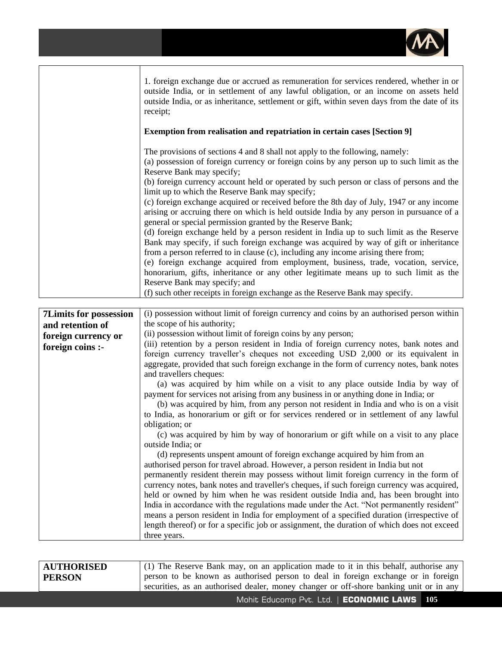

|                                                             | 1. foreign exchange due or accrued as remuneration for services rendered, whether in or<br>outside India, or in settlement of any lawful obligation, or an income on assets held<br>outside India, or as inheritance, settlement or gift, within seven days from the date of its<br>receipt;                                                                                                                                                                                                                                                                                                                                                                                                                                                                                                                                                                                                                                                                                                                                                                                                                                                                                        |
|-------------------------------------------------------------|-------------------------------------------------------------------------------------------------------------------------------------------------------------------------------------------------------------------------------------------------------------------------------------------------------------------------------------------------------------------------------------------------------------------------------------------------------------------------------------------------------------------------------------------------------------------------------------------------------------------------------------------------------------------------------------------------------------------------------------------------------------------------------------------------------------------------------------------------------------------------------------------------------------------------------------------------------------------------------------------------------------------------------------------------------------------------------------------------------------------------------------------------------------------------------------|
|                                                             | Exemption from realisation and repatriation in certain cases [Section 9]                                                                                                                                                                                                                                                                                                                                                                                                                                                                                                                                                                                                                                                                                                                                                                                                                                                                                                                                                                                                                                                                                                            |
|                                                             | The provisions of sections 4 and 8 shall not apply to the following, namely:<br>(a) possession of foreign currency or foreign coins by any person up to such limit as the<br>Reserve Bank may specify;<br>(b) foreign currency account held or operated by such person or class of persons and the<br>limit up to which the Reserve Bank may specify;<br>(c) foreign exchange acquired or received before the 8th day of July, 1947 or any income<br>arising or accruing there on which is held outside India by any person in pursuance of a<br>general or special permission granted by the Reserve Bank;<br>(d) foreign exchange held by a person resident in India up to such limit as the Reserve<br>Bank may specify, if such foreign exchange was acquired by way of gift or inheritance<br>from a person referred to in clause (c), including any income arising there from;<br>(e) foreign exchange acquired from employment, business, trade, vocation, service,<br>honorarium, gifts, inheritance or any other legitimate means up to such limit as the<br>Reserve Bank may specify; and<br>(f) such other receipts in foreign exchange as the Reserve Bank may specify. |
| <b>7Limits for possession</b>                               | (i) possession without limit of foreign currency and coins by an authorised person within                                                                                                                                                                                                                                                                                                                                                                                                                                                                                                                                                                                                                                                                                                                                                                                                                                                                                                                                                                                                                                                                                           |
| and retention of<br>foreign currency or<br>foreign coins :- | the scope of his authority;<br>(ii) possession without limit of foreign coins by any person;<br>(iii) retention by a person resident in India of foreign currency notes, bank notes and<br>foreign currency traveller's cheques not exceeding USD 2,000 or its equivalent in<br>aggregate, provided that such foreign exchange in the form of currency notes, bank notes<br>and travellers cheques:                                                                                                                                                                                                                                                                                                                                                                                                                                                                                                                                                                                                                                                                                                                                                                                 |
|                                                             | (a) was acquired by him while on a visit to any place outside India by way of<br>payment for services not arising from any business in or anything done in India; or<br>(b) was acquired by him, from any person not resident in India and who is on a visit<br>to India, as honorarium or gift or for services rendered or in settlement of any lawful<br>obligation; or<br>(c) was acquired by him by way of honorarium or gift while on a visit to any place<br>outside India; or<br>(d) represents unspent amount of foreign exchange acquired by him from an                                                                                                                                                                                                                                                                                                                                                                                                                                                                                                                                                                                                                   |
|                                                             | authorised person for travel abroad. However, a person resident in India but not<br>permanently resident therein may possess without limit foreign currency in the form of<br>currency notes, bank notes and traveller's cheques, if such foreign currency was acquired,<br>held or owned by him when he was resident outside India and, has been brought into<br>India in accordance with the regulations made under the Act. "Not permanently resident"<br>means a person resident in India for employment of a specified duration (irrespective of<br>length thereof) or for a specific job or assignment, the duration of which does not exceed<br>three years.                                                                                                                                                                                                                                                                                                                                                                                                                                                                                                                 |

| <b>AUTHORISED</b> | $(1)$ The Reserve Bank may, on an application made to it in this behalf, authorise any |
|-------------------|----------------------------------------------------------------------------------------|
| <b>PERSON</b>     | person to be known as authorised person to deal in foreign exchange or in foreign      |
|                   | securities, as an authorised dealer, money changer or off-shore banking unit or in any |
|                   |                                                                                        |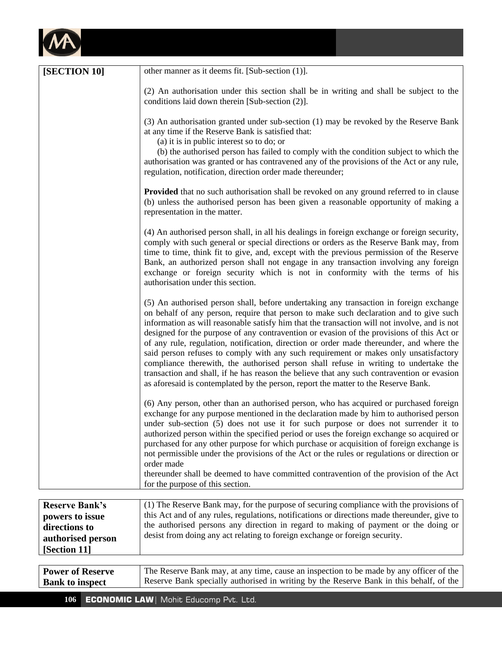

| [SECTION 10]                      | other manner as it deems fit. [Sub-section (1)].                                                                                                                                                                                                                                                                                                                                                                                                                                                                                                                                                                                                                                                                                                                                                                                              |
|-----------------------------------|-----------------------------------------------------------------------------------------------------------------------------------------------------------------------------------------------------------------------------------------------------------------------------------------------------------------------------------------------------------------------------------------------------------------------------------------------------------------------------------------------------------------------------------------------------------------------------------------------------------------------------------------------------------------------------------------------------------------------------------------------------------------------------------------------------------------------------------------------|
|                                   | (2) An authorisation under this section shall be in writing and shall be subject to the<br>conditions laid down therein [Sub-section (2)].                                                                                                                                                                                                                                                                                                                                                                                                                                                                                                                                                                                                                                                                                                    |
|                                   | (3) An authorisation granted under sub-section (1) may be revoked by the Reserve Bank<br>at any time if the Reserve Bank is satisfied that:<br>(a) it is in public interest so to do; or<br>(b) the authorised person has failed to comply with the condition subject to which the                                                                                                                                                                                                                                                                                                                                                                                                                                                                                                                                                            |
|                                   | authorisation was granted or has contravened any of the provisions of the Act or any rule,<br>regulation, notification, direction order made thereunder;                                                                                                                                                                                                                                                                                                                                                                                                                                                                                                                                                                                                                                                                                      |
|                                   | <b>Provided</b> that no such authorisation shall be revoked on any ground referred to in clause<br>(b) unless the authorised person has been given a reasonable opportunity of making a<br>representation in the matter.                                                                                                                                                                                                                                                                                                                                                                                                                                                                                                                                                                                                                      |
|                                   | (4) An authorised person shall, in all his dealings in foreign exchange or foreign security,<br>comply with such general or special directions or orders as the Reserve Bank may, from<br>time to time, think fit to give, and, except with the previous permission of the Reserve<br>Bank, an authorized person shall not engage in any transaction involving any foreign<br>exchange or foreign security which is not in conformity with the terms of his<br>authorisation under this section.                                                                                                                                                                                                                                                                                                                                              |
|                                   | (5) An authorised person shall, before undertaking any transaction in foreign exchange<br>on behalf of any person, require that person to make such declaration and to give such<br>information as will reasonable satisfy him that the transaction will not involve, and is not<br>designed for the purpose of any contravention or evasion of the provisions of this Act or<br>of any rule, regulation, notification, direction or order made thereunder, and where the<br>said person refuses to comply with any such requirement or makes only unsatisfactory<br>compliance therewith, the authorised person shall refuse in writing to undertake the<br>transaction and shall, if he has reason the believe that any such contravention or evasion<br>as aforesaid is contemplated by the person, report the matter to the Reserve Bank. |
|                                   | (6) Any person, other than an authorised person, who has acquired or purchased foreign<br>exchange for any purpose mentioned in the declaration made by him to authorised person<br>under sub-section (5) does not use it for such purpose or does not surrender it to<br>authorized person within the specified period or uses the foreign exchange so acquired or<br>purchased for any other purpose for which purchase or acquisition of foreign exchange is<br>not permissible under the provisions of the Act or the rules or regulations or direction or<br>order made                                                                                                                                                                                                                                                                  |
|                                   | thereunder shall be deemed to have committed contravention of the provision of the Act<br>for the purpose of this section.                                                                                                                                                                                                                                                                                                                                                                                                                                                                                                                                                                                                                                                                                                                    |
|                                   |                                                                                                                                                                                                                                                                                                                                                                                                                                                                                                                                                                                                                                                                                                                                                                                                                                               |
| <b>Reserve Bank's</b>             | (1) The Reserve Bank may, for the purpose of securing compliance with the provisions of                                                                                                                                                                                                                                                                                                                                                                                                                                                                                                                                                                                                                                                                                                                                                       |
| powers to issue                   | this Act and of any rules, regulations, notifications or directions made thereunder, give to<br>the authorised persons any direction in regard to making of payment or the doing or                                                                                                                                                                                                                                                                                                                                                                                                                                                                                                                                                                                                                                                           |
| directions to                     | desist from doing any act relating to foreign exchange or foreign security.                                                                                                                                                                                                                                                                                                                                                                                                                                                                                                                                                                                                                                                                                                                                                                   |
| authorised person<br>[Section 11] |                                                                                                                                                                                                                                                                                                                                                                                                                                                                                                                                                                                                                                                                                                                                                                                                                                               |
|                                   |                                                                                                                                                                                                                                                                                                                                                                                                                                                                                                                                                                                                                                                                                                                                                                                                                                               |
| <b>Power of Reserve</b>           | The Reserve Bank may, at any time, cause an inspection to be made by any officer of the                                                                                                                                                                                                                                                                                                                                                                                                                                                                                                                                                                                                                                                                                                                                                       |
| <b>Bank to inspect</b>            | Reserve Bank specially authorised in writing by the Reserve Bank in this behalf, of the                                                                                                                                                                                                                                                                                                                                                                                                                                                                                                                                                                                                                                                                                                                                                       |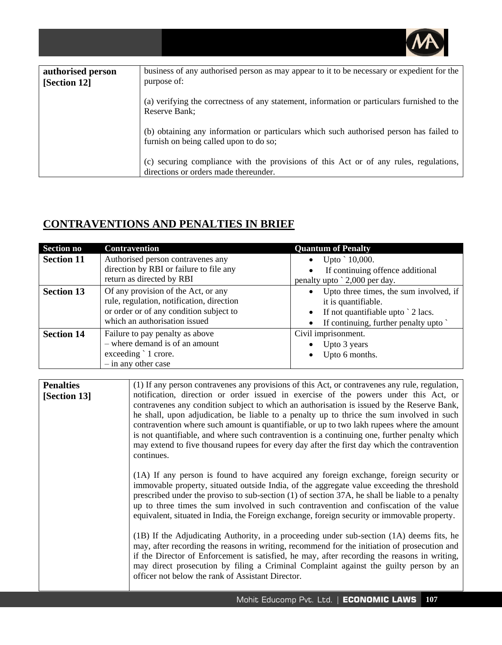

| authorised person<br>[Section 12] | business of any authorised person as may appear to it to be necessary or expedient for the<br>purpose of:                         |
|-----------------------------------|-----------------------------------------------------------------------------------------------------------------------------------|
|                                   | (a) verifying the correctness of any statement, information or particulars furnished to the<br>Reserve Bank;                      |
|                                   | (b) obtaining any information or particulars which such authorised person has failed to<br>furnish on being called upon to do so; |
|                                   | (c) securing compliance with the provisions of this Act or of any rules, regulations,<br>directions or orders made thereunder.    |

## **CONTRAVENTIONS AND PENALTIES IN BRIEF**

| <b>Section no</b> | <b>Contravention</b>                                                                                                                                         | <b>Quantum of Penalty</b>                                                                                                                  |
|-------------------|--------------------------------------------------------------------------------------------------------------------------------------------------------------|--------------------------------------------------------------------------------------------------------------------------------------------|
| <b>Section 11</b> | Authorised person contravenes any<br>direction by RBI or failure to file any<br>return as directed by RBI                                                    | Upto $\degree$ 10,000.<br>If continuing offence additional<br>penalty upto ` 2,000 per day.                                                |
| <b>Section 13</b> | Of any provision of the Act, or any<br>rule, regulation, notification, direction<br>or order or of any condition subject to<br>which an authorisation issued | Upto three times, the sum involved, if<br>it is quantifiable.<br>If not quantifiable upto ` 2 lacs.<br>If continuing, further penalty upto |
| <b>Section 14</b> | Failure to pay penalty as above<br>- where demand is of an amount<br>exceeding 1 crore.<br>$-$ in any other case                                             | Civil imprisonment.<br>Upto 3 years<br>Upto 6 months.                                                                                      |

| <b>Penalties</b> | (1) If any person contravenes any provisions of this Act, or contravenes any rule, regulation,                                                                                                                                                                                                                                                                                                                                                                                                                                                                                              |
|------------------|---------------------------------------------------------------------------------------------------------------------------------------------------------------------------------------------------------------------------------------------------------------------------------------------------------------------------------------------------------------------------------------------------------------------------------------------------------------------------------------------------------------------------------------------------------------------------------------------|
| [Section 13]     | notification, direction or order issued in exercise of the powers under this Act, or<br>contravenes any condition subject to which an authorisation is issued by the Reserve Bank,<br>he shall, upon adjudication, be liable to a penalty up to thrice the sum involved in such<br>contravention where such amount is quantifiable, or up to two lakh rupees where the amount<br>is not quantifiable, and where such contravention is a continuing one, further penalty which<br>may extend to five thousand rupees for every day after the first day which the contravention<br>continues. |
|                  | (1A) If any person is found to have acquired any foreign exchange, foreign security or<br>immovable property, situated outside India, of the aggregate value exceeding the threshold<br>prescribed under the proviso to sub-section (1) of section 37A, he shall be liable to a penalty<br>up to three times the sum involved in such contravention and confiscation of the value<br>equivalent, situated in India, the Foreign exchange, foreign security or immovable property.                                                                                                           |
|                  | (1B) If the Adjudicating Authority, in a proceeding under sub-section (1A) deems fits, he<br>may, after recording the reasons in writing, recommend for the initiation of prosecution and<br>if the Director of Enforcement is satisfied, he may, after recording the reasons in writing,<br>may direct prosecution by filing a Criminal Complaint against the guilty person by an<br>officer not below the rank of Assistant Director.                                                                                                                                                     |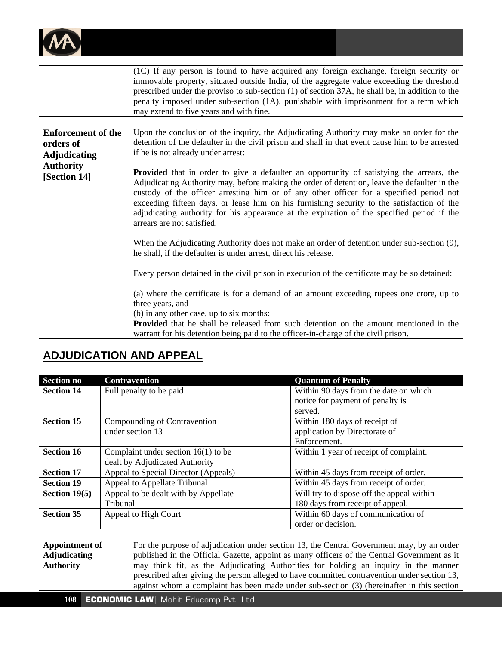

|                                                                                                   | (1C) If any person is found to have acquired any foreign exchange, foreign security or<br>immovable property, situated outside India, of the aggregate value exceeding the threshold<br>prescribed under the proviso to sub-section (1) of section 37A, he shall be, in addition to the<br>penalty imposed under sub-section (1A), punishable with imprisonment for a term which<br>may extend to five years and with fine.                                                                                                                                                                                                                                                                                                                                                                                                                                                                                                |
|---------------------------------------------------------------------------------------------------|----------------------------------------------------------------------------------------------------------------------------------------------------------------------------------------------------------------------------------------------------------------------------------------------------------------------------------------------------------------------------------------------------------------------------------------------------------------------------------------------------------------------------------------------------------------------------------------------------------------------------------------------------------------------------------------------------------------------------------------------------------------------------------------------------------------------------------------------------------------------------------------------------------------------------|
| <b>Enforcement of the</b><br>orders of<br><b>Adjudicating</b><br><b>Authority</b><br>[Section 14] | Upon the conclusion of the inquiry, the Adjudicating Authority may make an order for the<br>detention of the defaulter in the civil prison and shall in that event cause him to be arrested<br>if he is not already under arrest:<br><b>Provided</b> that in order to give a defaulter an opportunity of satisfying the arrears, the<br>Adjudicating Authority may, before making the order of detention, leave the defaulter in the<br>custody of the officer arresting him or of any other officer for a specified period not<br>exceeding fifteen days, or lease him on his furnishing security to the satisfaction of the<br>adjudicating authority for his appearance at the expiration of the specified period if the<br>arrears are not satisfied.<br>When the Adjudicating Authority does not make an order of detention under sub-section (9),<br>he shall, if the defaulter is under arrest, direct his release. |

Every person detained in the civil prison in execution of the certificate may be so detained:

(a) where the certificate is for a demand of an amount exceeding rupees one crore, up to three years, and

(b) in any other case, up to six months:

**Provided** that he shall be released from such detention on the amount mentioned in the warrant for his detention being paid to the officer-in-charge of the civil prison.

## **ADJUDICATION AND APPEAL**

| <b>Section no</b> | <b>Contravention</b>                  | <b>Quantum of Penalty</b>                 |
|-------------------|---------------------------------------|-------------------------------------------|
| <b>Section 14</b> | Full penalty to be paid               | Within 90 days from the date on which     |
|                   |                                       | notice for payment of penalty is          |
|                   |                                       | served.                                   |
| <b>Section 15</b> | Compounding of Contravention          | Within 180 days of receipt of             |
|                   | under section 13                      | application by Directorate of             |
|                   |                                       | Enforcement.                              |
| <b>Section 16</b> | Complaint under section $16(1)$ to be | Within 1 year of receipt of complaint.    |
|                   | dealt by Adjudicated Authority        |                                           |
| <b>Section 17</b> | Appeal to Special Director (Appeals)  | Within 45 days from receipt of order.     |
| <b>Section 19</b> | Appeal to Appellate Tribunal          | Within 45 days from receipt of order.     |
| Section $19(5)$   | Appeal to be dealt with by Appellate  | Will try to dispose off the appeal within |
|                   | Tribunal                              | 180 days from receipt of appeal.          |
| <b>Section 35</b> | Appeal to High Court                  | Within 60 days of communication of        |
|                   |                                       | order or decision.                        |

**Appointment of Adjudicating Authority** For the purpose of adjudication under section 13, the Central Government may, by an order published in the Official Gazette, appoint as many officers of the Central Government as it may think fit, as the Adjudicating Authorities for holding an inquiry in the manner prescribed after giving the person alleged to have committed contravention under section 13, against whom a complaint has been made under sub-section (3) (hereinafter in this section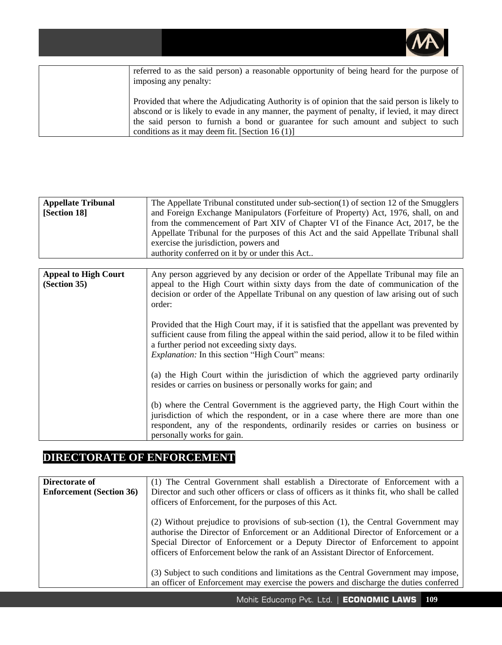

| referred to as the said person) a reasonable opportunity of being heard for the purpose of<br>imposing any penalty:                                                                                                                                                                                                                         |
|---------------------------------------------------------------------------------------------------------------------------------------------------------------------------------------------------------------------------------------------------------------------------------------------------------------------------------------------|
| Provided that where the Adjudicating Authority is of opinion that the said person is likely to<br>abscond or is likely to evade in any manner, the payment of penalty, if levied, it may direct<br>the said person to furnish a bond or guarantee for such amount and subject to such<br>conditions as it may deem fit. [Section 16 $(1)$ ] |

| <b>Appellate Tribunal</b> | The Appellate Tribunal constituted under $sub-section(1)$ of section 12 of the Smugglers |
|---------------------------|------------------------------------------------------------------------------------------|
| [Section 18]              | and Foreign Exchange Manipulators (Forfeiture of Property) Act, 1976, shall, on and      |
|                           | from the commencement of Part XIV of Chapter VI of the Finance Act, 2017, be the         |
|                           | Appellate Tribunal for the purposes of this Act and the said Appellate Tribunal shall    |
|                           | exercise the jurisdiction, powers and                                                    |
|                           | authority conferred on it by or under this Act                                           |
|                           |                                                                                          |

| <b>Appeal to High Court</b><br>(Section 35) | Any person aggrieved by any decision or order of the Appellate Tribunal may file an<br>appeal to the High Court within sixty days from the date of communication of the<br>decision or order of the Appellate Tribunal on any question of law arising out of such<br>order:                      |
|---------------------------------------------|--------------------------------------------------------------------------------------------------------------------------------------------------------------------------------------------------------------------------------------------------------------------------------------------------|
|                                             | Provided that the High Court may, if it is satisfied that the appellant was prevented by<br>sufficient cause from filing the appeal within the said period, allow it to be filed within<br>a further period not exceeding sixty days.<br><i>Explanation:</i> In this section "High Court" means: |
|                                             | (a) the High Court within the jurisdiction of which the aggrieved party ordinarily<br>resides or carries on business or personally works for gain; and                                                                                                                                           |
|                                             | (b) where the Central Government is the aggrieved party, the High Court within the<br>jurisdiction of which the respondent, or in a case where there are more than one<br>respondent, any of the respondents, ordinarily resides or carries on business or<br>personally works for gain.         |

# **DIRECTORATE OF ENFORCEMENT**

| Directorate of                  | (1) The Central Government shall establish a Directorate of Enforcement with a              |
|---------------------------------|---------------------------------------------------------------------------------------------|
| <b>Enforcement</b> (Section 36) | Director and such other officers or class of officers as it thinks fit, who shall be called |
|                                 | officers of Enforcement, for the purposes of this Act.                                      |
|                                 |                                                                                             |
|                                 | (2) Without prejudice to provisions of sub-section (1), the Central Government may          |
|                                 | authorise the Director of Enforcement or an Additional Director of Enforcement or a         |
|                                 | Special Director of Enforcement or a Deputy Director of Enforcement to appoint              |
|                                 | officers of Enforcement below the rank of an Assistant Director of Enforcement.             |
|                                 |                                                                                             |
|                                 | (3) Subject to such conditions and limitations as the Central Government may impose,        |
|                                 | an officer of Enforcement may exercise the powers and discharge the duties conferred        |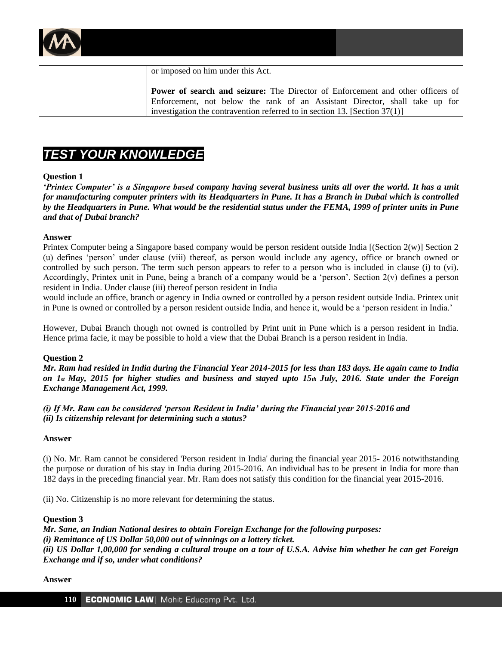

or imposed on him under this Act.

**Power of search and seizure:** The Director of Enforcement and other officers of Enforcement, not below the rank of an Assistant Director, shall take up for investigation the contravention referred to in section 13. [Section 37(1)]

## *TEST YOUR KNOWLEDGE*

#### **Question 1**

*"Printex Computer" is a Singapore based company having several business units all over the world. It has a unit for manufacturing computer printers with its Headquarters in Pune. It has a Branch in Dubai which is controlled by the Headquarters in Pune. What would be the residential status under the FEMA, 1999 of printer units in Pune and that of Dubai branch?*

#### **Answer**

Printex Computer being a Singapore based company would be person resident outside India [(Section 2(w)] Section 2 (u) defines ‗person' under clause (viii) thereof, as person would include any agency, office or branch owned or controlled by such person. The term such person appears to refer to a person who is included in clause (i) to (vi). Accordingly, Printex unit in Pune, being a branch of a company would be a 'person'. Section  $2(v)$  defines a person resident in India. Under clause (iii) thereof person resident in India

would include an office, branch or agency in India owned or controlled by a person resident outside India. Printex unit in Pune is owned or controlled by a person resident outside India, and hence it, would be a 'person resident in India.'

However, Dubai Branch though not owned is controlled by Print unit in Pune which is a person resident in India. Hence prima facie, it may be possible to hold a view that the Dubai Branch is a person resident in India.

#### **Question 2**

*Mr. Ram had resided in India during the Financial Year 2014-2015 for less than 183 days. He again came to India on 1st May, 2015 for higher studies and business and stayed upto 15th July, 2016. State under the Foreign Exchange Management Act, 1999.*

#### *(i) If Mr. Ram can be considered "person Resident in India" during the Financial year 2015-2016 and (ii) Is citizenship relevant for determining such a status?*

#### **Answer**

(i) No. Mr. Ram cannot be considered 'Person resident in India' during the financial year 2015- 2016 notwithstanding the purpose or duration of his stay in India during 2015-2016. An individual has to be present in India for more than 182 days in the preceding financial year. Mr. Ram does not satisfy this condition for the financial year 2015-2016.

(ii) No. Citizenship is no more relevant for determining the status.

#### **Question 3**

*Mr. Sane, an Indian National desires to obtain Foreign Exchange for the following purposes: (i) Remittance of US Dollar 50,000 out of winnings on a lottery ticket. (ii) US Dollar 1,00,000 for sending a cultural troupe on a tour of U.S.A. Advise him whether he can get Foreign Exchange and if so, under what conditions?*

#### **Answer**

**110 ECONOMIC LAW**| Mohit Educomp Pvt. Ltd.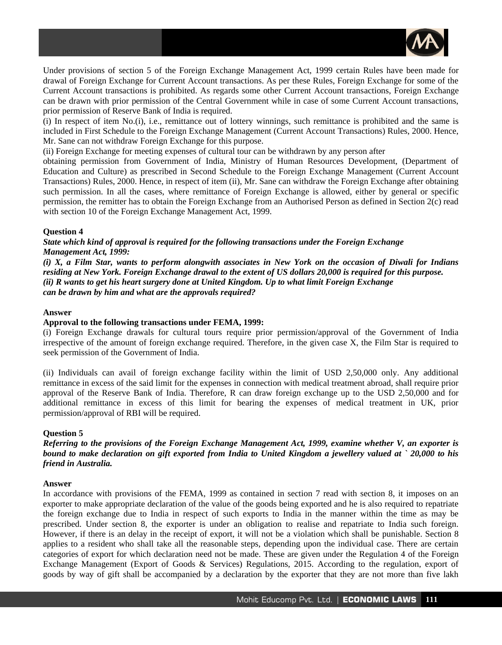

Under provisions of section 5 of the Foreign Exchange Management Act, 1999 certain Rules have been made for drawal of Foreign Exchange for Current Account transactions. As per these Rules, Foreign Exchange for some of the Current Account transactions is prohibited. As regards some other Current Account transactions, Foreign Exchange can be drawn with prior permission of the Central Government while in case of some Current Account transactions, prior permission of Reserve Bank of India is required.

(i) In respect of item No.(i), i.e., remittance out of lottery winnings, such remittance is prohibited and the same is included in First Schedule to the Foreign Exchange Management (Current Account Transactions) Rules, 2000. Hence, Mr. Sane can not withdraw Foreign Exchange for this purpose.

(ii) Foreign Exchange for meeting expenses of cultural tour can be withdrawn by any person after

obtaining permission from Government of India, Ministry of Human Resources Development, (Department of Education and Culture) as prescribed in Second Schedule to the Foreign Exchange Management (Current Account Transactions) Rules, 2000. Hence, in respect of item (ii), Mr. Sane can withdraw the Foreign Exchange after obtaining such permission. In all the cases, where remittance of Foreign Exchange is allowed, either by general or specific permission, the remitter has to obtain the Foreign Exchange from an Authorised Person as defined in Section 2(c) read with section 10 of the Foreign Exchange Management Act, 1999.

#### **Question 4**

*State which kind of approval is required for the following transactions under the Foreign Exchange Management Act, 1999:*

*(i) X, a Film Star, wants to perform alongwith associates in New York on the occasion of Diwali for Indians residing at New York. Foreign Exchange drawal to the extent of US dollars 20,000 is required for this purpose. (ii) R wants to get his heart surgery done at United Kingdom. Up to what limit Foreign Exchange can be drawn by him and what are the approvals required?*

#### **Answer**

#### **Approval to the following transactions under FEMA, 1999:**

(i) Foreign Exchange drawals for cultural tours require prior permission/approval of the Government of India irrespective of the amount of foreign exchange required. Therefore, in the given case X, the Film Star is required to seek permission of the Government of India.

(ii) Individuals can avail of foreign exchange facility within the limit of USD 2,50,000 only. Any additional remittance in excess of the said limit for the expenses in connection with medical treatment abroad, shall require prior approval of the Reserve Bank of India. Therefore, R can draw foreign exchange up to the USD 2,50,000 and for additional remittance in excess of this limit for bearing the expenses of medical treatment in UK, prior permission/approval of RBI will be required.

#### **Question 5**

*Referring to the provisions of the Foreign Exchange Management Act, 1999, examine whether V, an exporter is bound to make declaration on gift exported from India to United Kingdom a jewellery valued at ` 20,000 to his friend in Australia.*

#### **Answer**

In accordance with provisions of the FEMA, 1999 as contained in section 7 read with section 8, it imposes on an exporter to make appropriate declaration of the value of the goods being exported and he is also required to repatriate the foreign exchange due to India in respect of such exports to India in the manner within the time as may be prescribed. Under section 8, the exporter is under an obligation to realise and repatriate to India such foreign. However, if there is an delay in the receipt of export, it will not be a violation which shall be punishable. Section 8 applies to a resident who shall take all the reasonable steps, depending upon the individual case. There are certain categories of export for which declaration need not be made. These are given under the Regulation 4 of the Foreign Exchange Management (Export of Goods & Services) Regulations, 2015. According to the regulation, export of goods by way of gift shall be accompanied by a declaration by the exporter that they are not more than five lakh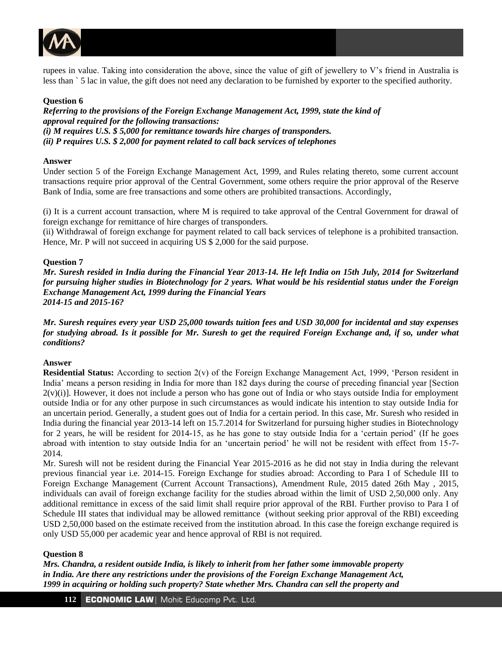

rupees in value. Taking into consideration the above, since the value of gift of jewellery to V's friend in Australia is less than ` 5 lac in value, the gift does not need any declaration to be furnished by exporter to the specified authority.

#### **Question 6**

*Referring to the provisions of the Foreign Exchange Management Act, 1999, state the kind of approval required for the following transactions: (i) M requires U.S. \$ 5,000 for remittance towards hire charges of transponders. (ii) P requires U.S. \$ 2,000 for payment related to call back services of telephones*

#### **Answer**

Under section 5 of the Foreign Exchange Management Act, 1999, and Rules relating thereto, some current account transactions require prior approval of the Central Government, some others require the prior approval of the Reserve Bank of India, some are free transactions and some others are prohibited transactions. Accordingly,

(i) It is a current account transaction, where M is required to take approval of the Central Government for drawal of foreign exchange for remittance of hire charges of transponders.

(ii) Withdrawal of foreign exchange for payment related to call back services of telephone is a prohibited transaction. Hence, Mr. P will not succeed in acquiring US \$ 2,000 for the said purpose.

#### **Question 7**

*Mr. Suresh resided in India during the Financial Year 2013-14. He left India on 15th July, 2014 for Switzerland for pursuing higher studies in Biotechnology for 2 years. What would be his residential status under the Foreign Exchange Management Act, 1999 during the Financial Years 2014-15 and 2015-16?*

*Mr. Suresh requires every year USD 25,000 towards tuition fees and USD 30,000 for incidental and stay expenses for studying abroad. Is it possible for Mr. Suresh to get the required Foreign Exchange and, if so, under what conditions?*

#### **Answer**

**Residential Status:** According to section 2(v) of the Foreign Exchange Management Act, 1999, 'Person resident in India' means a person residing in India for more than 182 days during the course of preceding financial year [Section  $2(v)(i)$ ]. However, it does not include a person who has gone out of India or who stays outside India for employment outside India or for any other purpose in such circumstances as would indicate his intention to stay outside India for an uncertain period. Generally, a student goes out of India for a certain period. In this case, Mr. Suresh who resided in India during the financial year 2013-14 left on 15.7.2014 for Switzerland for pursuing higher studies in Biotechnology for 2 years, he will be resident for 2014-15, as he has gone to stay outside India for a ‗certain period' (If he goes abroad with intention to stay outside India for an 'uncertain period' he will not be resident with effect from 15-7-2014.

Mr. Suresh will not be resident during the Financial Year 2015-2016 as he did not stay in India during the relevant previous financial year i.e. 2014-15. Foreign Exchange for studies abroad: According to Para I of Schedule III to Foreign Exchange Management (Current Account Transactions), Amendment Rule, 2015 dated 26th May , 2015, individuals can avail of foreign exchange facility for the studies abroad within the limit of USD 2,50,000 only. Any additional remittance in excess of the said limit shall require prior approval of the RBI. Further proviso to Para I of Schedule III states that individual may be allowed remittance (without seeking prior approval of the RBI) exceeding USD 2,50,000 based on the estimate received from the institution abroad. In this case the foreign exchange required is only USD 55,000 per academic year and hence approval of RBI is not required.

#### **Question 8**

*Mrs. Chandra, a resident outside India, is likely to inherit from her father some immovable property in India. Are there any restrictions under the provisions of the Foreign Exchange Management Act, 1999 in acquiring or holding such property? State whether Mrs. Chandra can sell the property and*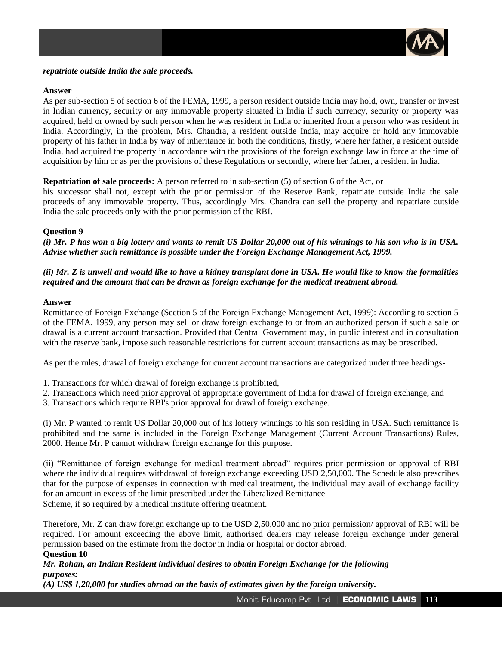

#### *repatriate outside India the sale proceeds.*

#### **Answer**

As per sub-section 5 of section 6 of the FEMA, 1999, a person resident outside India may hold, own, transfer or invest in Indian currency, security or any immovable property situated in India if such currency, security or property was acquired, held or owned by such person when he was resident in India or inherited from a person who was resident in India. Accordingly, in the problem, Mrs. Chandra, a resident outside India, may acquire or hold any immovable property of his father in India by way of inheritance in both the conditions, firstly, where her father, a resident outside India, had acquired the property in accordance with the provisions of the foreign exchange law in force at the time of acquisition by him or as per the provisions of these Regulations or secondly, where her father, a resident in India.

#### **Repatriation of sale proceeds:** A person referred to in sub-section (5) of section 6 of the Act, or

his successor shall not, except with the prior permission of the Reserve Bank, repatriate outside India the sale proceeds of any immovable property. Thus, accordingly Mrs. Chandra can sell the property and repatriate outside India the sale proceeds only with the prior permission of the RBI.

#### **Question 9**

*(i) Mr. P has won a big lottery and wants to remit US Dollar 20,000 out of his winnings to his son who is in USA. Advise whether such remittance is possible under the Foreign Exchange Management Act, 1999.*

#### *(ii) Mr. Z is unwell and would like to have a kidney transplant done in USA. He would like to know the formalities required and the amount that can be drawn as foreign exchange for the medical treatment abroad.*

#### **Answer**

Remittance of Foreign Exchange (Section 5 of the Foreign Exchange Management Act, 1999): According to section 5 of the FEMA, 1999, any person may sell or draw foreign exchange to or from an authorized person if such a sale or drawal is a current account transaction. Provided that Central Government may, in public interest and in consultation with the reserve bank, impose such reasonable restrictions for current account transactions as may be prescribed.

As per the rules, drawal of foreign exchange for current account transactions are categorized under three headings-

- 1. Transactions for which drawal of foreign exchange is prohibited,
- 2. Transactions which need prior approval of appropriate government of India for drawal of foreign exchange, and
- 3. Transactions which require RBI's prior approval for drawl of foreign exchange.

(i) Mr. P wanted to remit US Dollar 20,000 out of his lottery winnings to his son residing in USA. Such remittance is prohibited and the same is included in the Foreign Exchange Management (Current Account Transactions) Rules, 2000. Hence Mr. P cannot withdraw foreign exchange for this purpose.

(ii) "Remittance of foreign exchange for medical treatment abroad" requires prior permission or approval of RBI where the individual requires withdrawal of foreign exchange exceeding USD 2,50,000. The Schedule also prescribes that for the purpose of expenses in connection with medical treatment, the individual may avail of exchange facility for an amount in excess of the limit prescribed under the Liberalized Remittance Scheme, if so required by a medical institute offering treatment.

Therefore, Mr. Z can draw foreign exchange up to the USD 2,50,000 and no prior permission/ approval of RBI will be required. For amount exceeding the above limit, authorised dealers may release foreign exchange under general permission based on the estimate from the doctor in India or hospital or doctor abroad.

#### **Question 10**

#### *Mr. Rohan, an Indian Resident individual desires to obtain Foreign Exchange for the following purposes:*

*(A) US\$ 1,20,000 for studies abroad on the basis of estimates given by the foreign university.*